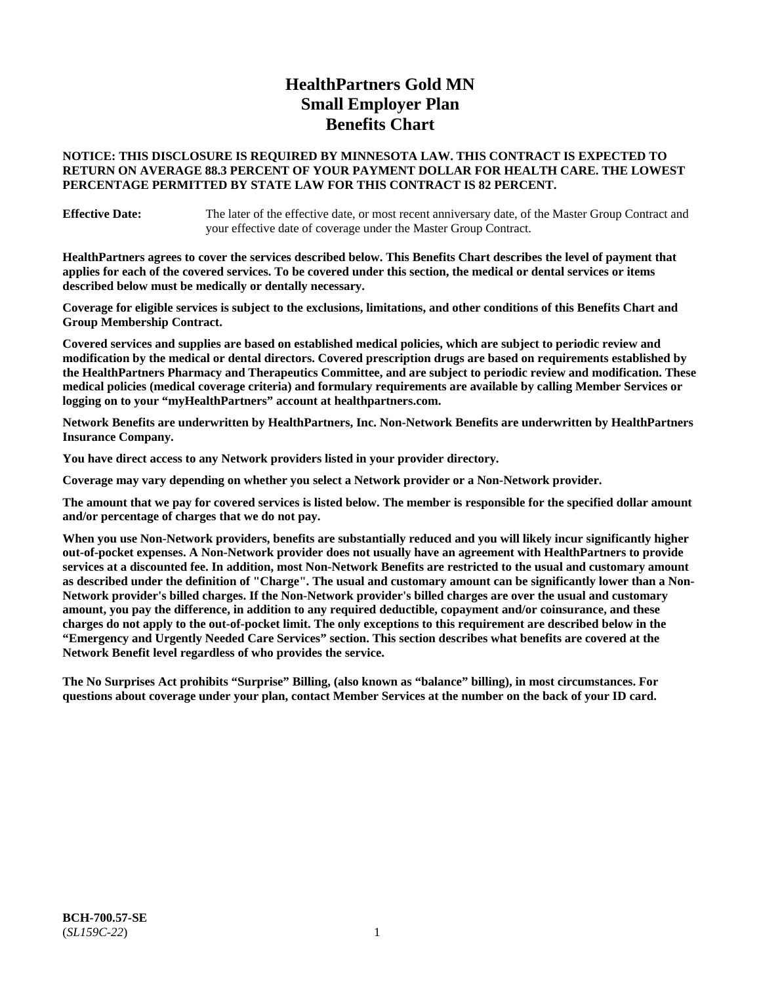# **HealthPartners Gold MN Small Employer Plan Benefits Chart**

### **NOTICE: THIS DISCLOSURE IS REQUIRED BY MINNESOTA LAW. THIS CONTRACT IS EXPECTED TO RETURN ON AVERAGE 88.3 PERCENT OF YOUR PAYMENT DOLLAR FOR HEALTH CARE. THE LOWEST PERCENTAGE PERMITTED BY STATE LAW FOR THIS CONTRACT IS 82 PERCENT.**

**Effective Date:** The later of the effective date, or most recent anniversary date, of the Master Group Contract and your effective date of coverage under the Master Group Contract.

**HealthPartners agrees to cover the services described below. This Benefits Chart describes the level of payment that applies for each of the covered services. To be covered under this section, the medical or dental services or items described below must be medically or dentally necessary.**

**Coverage for eligible services is subject to the exclusions, limitations, and other conditions of this Benefits Chart and Group Membership Contract.**

**Covered services and supplies are based on established medical policies, which are subject to periodic review and modification by the medical or dental directors. Covered prescription drugs are based on requirements established by the HealthPartners Pharmacy and Therapeutics Committee, and are subject to periodic review and modification. These medical policies (medical coverage criteria) and formulary requirements are available by calling Member Services or logging on to your "myHealthPartners" account at [healthpartners.com.](https://www.healthpartners.com/hp/index.html)**

**Network Benefits are underwritten by HealthPartners, Inc. Non-Network Benefits are underwritten by HealthPartners Insurance Company.** 

**You have direct access to any Network providers listed in your provider directory.**

**Coverage may vary depending on whether you select a Network provider or a Non-Network provider.**

**The amount that we pay for covered services is listed below. The member is responsible for the specified dollar amount and/or percentage of charges that we do not pay.**

**When you use Non-Network providers, benefits are substantially reduced and you will likely incur significantly higher out-of-pocket expenses. A Non-Network provider does not usually have an agreement with HealthPartners to provide services at a discounted fee. In addition, most Non-Network Benefits are restricted to the usual and customary amount as described under the definition of "Charge". The usual and customary amount can be significantly lower than a Non-Network provider's billed charges. If the Non-Network provider's billed charges are over the usual and customary amount, you pay the difference, in addition to any required deductible, copayment and/or coinsurance, and these charges do not apply to the out-of-pocket limit. The only exceptions to this requirement are described below in the "Emergency and Urgently Needed Care Services" section. This section describes what benefits are covered at the Network Benefit level regardless of who provides the service.**

**The No Surprises Act prohibits "Surprise" Billing, (also known as "balance" billing), in most circumstances. For questions about coverage under your plan, contact Member Services at the number on the back of your ID card.**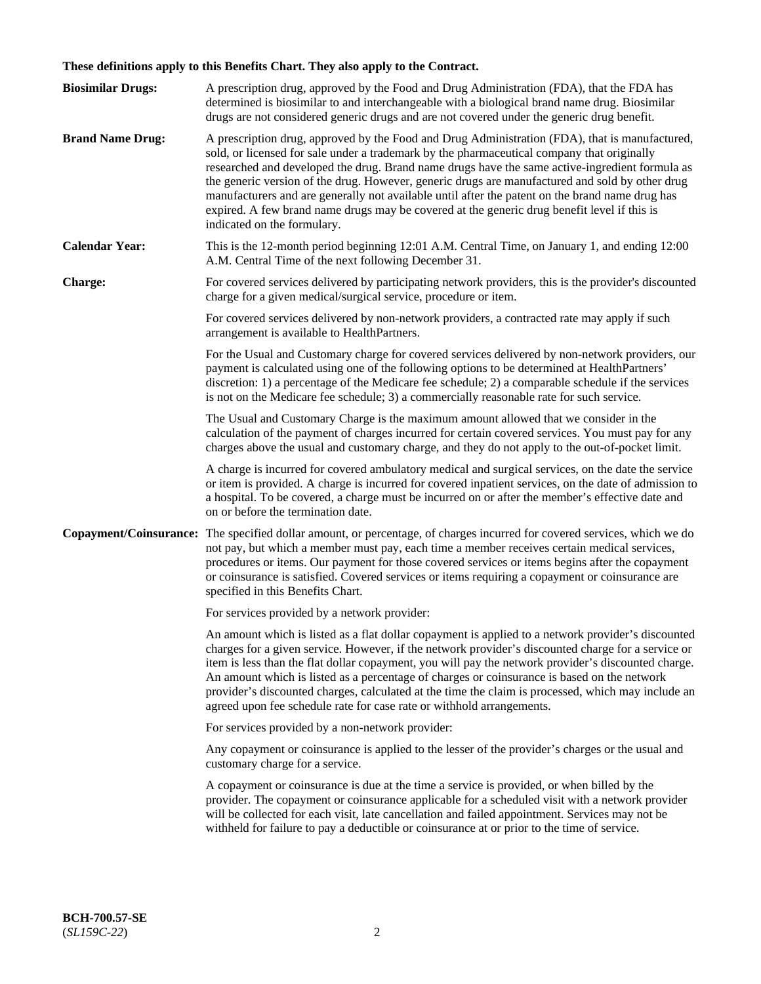# **These definitions apply to this Benefits Chart. They also apply to the Contract.**

| <b>Biosimilar Drugs:</b> | A prescription drug, approved by the Food and Drug Administration (FDA), that the FDA has<br>determined is biosimilar to and interchangeable with a biological brand name drug. Biosimilar<br>drugs are not considered generic drugs and are not covered under the generic drug benefit.                                                                                                                                                                                                                                                                                                                                           |
|--------------------------|------------------------------------------------------------------------------------------------------------------------------------------------------------------------------------------------------------------------------------------------------------------------------------------------------------------------------------------------------------------------------------------------------------------------------------------------------------------------------------------------------------------------------------------------------------------------------------------------------------------------------------|
| <b>Brand Name Drug:</b>  | A prescription drug, approved by the Food and Drug Administration (FDA), that is manufactured,<br>sold, or licensed for sale under a trademark by the pharmaceutical company that originally<br>researched and developed the drug. Brand name drugs have the same active-ingredient formula as<br>the generic version of the drug. However, generic drugs are manufactured and sold by other drug<br>manufacturers and are generally not available until after the patent on the brand name drug has<br>expired. A few brand name drugs may be covered at the generic drug benefit level if this is<br>indicated on the formulary. |
| <b>Calendar Year:</b>    | This is the 12-month period beginning 12:01 A.M. Central Time, on January 1, and ending 12:00<br>A.M. Central Time of the next following December 31.                                                                                                                                                                                                                                                                                                                                                                                                                                                                              |
| <b>Charge:</b>           | For covered services delivered by participating network providers, this is the provider's discounted<br>charge for a given medical/surgical service, procedure or item.                                                                                                                                                                                                                                                                                                                                                                                                                                                            |
|                          | For covered services delivered by non-network providers, a contracted rate may apply if such<br>arrangement is available to HealthPartners.                                                                                                                                                                                                                                                                                                                                                                                                                                                                                        |
|                          | For the Usual and Customary charge for covered services delivered by non-network providers, our<br>payment is calculated using one of the following options to be determined at HealthPartners'<br>discretion: 1) a percentage of the Medicare fee schedule; 2) a comparable schedule if the services<br>is not on the Medicare fee schedule; 3) a commercially reasonable rate for such service.                                                                                                                                                                                                                                  |
|                          | The Usual and Customary Charge is the maximum amount allowed that we consider in the<br>calculation of the payment of charges incurred for certain covered services. You must pay for any<br>charges above the usual and customary charge, and they do not apply to the out-of-pocket limit.                                                                                                                                                                                                                                                                                                                                       |
|                          | A charge is incurred for covered ambulatory medical and surgical services, on the date the service<br>or item is provided. A charge is incurred for covered inpatient services, on the date of admission to<br>a hospital. To be covered, a charge must be incurred on or after the member's effective date and<br>on or before the termination date.                                                                                                                                                                                                                                                                              |
| Copayment/Coinsurance:   | The specified dollar amount, or percentage, of charges incurred for covered services, which we do<br>not pay, but which a member must pay, each time a member receives certain medical services,<br>procedures or items. Our payment for those covered services or items begins after the copayment<br>or coinsurance is satisfied. Covered services or items requiring a copayment or coinsurance are<br>specified in this Benefits Chart.                                                                                                                                                                                        |
|                          | For services provided by a network provider:                                                                                                                                                                                                                                                                                                                                                                                                                                                                                                                                                                                       |
|                          | An amount which is listed as a flat dollar copayment is applied to a network provider's discounted<br>charges for a given service. However, if the network provider's discounted charge for a service or<br>item is less than the flat dollar copayment, you will pay the network provider's discounted charge.<br>An amount which is listed as a percentage of charges or coinsurance is based on the network<br>provider's discounted charges, calculated at the time the claim is processed, which may include an<br>agreed upon fee schedule rate for case rate or withhold arrangements.                                      |
|                          | For services provided by a non-network provider:                                                                                                                                                                                                                                                                                                                                                                                                                                                                                                                                                                                   |
|                          | Any copayment or coinsurance is applied to the lesser of the provider's charges or the usual and<br>customary charge for a service.                                                                                                                                                                                                                                                                                                                                                                                                                                                                                                |
|                          | A copayment or coinsurance is due at the time a service is provided, or when billed by the<br>provider. The copayment or coinsurance applicable for a scheduled visit with a network provider<br>will be collected for each visit, late cancellation and failed appointment. Services may not be<br>withheld for failure to pay a deductible or coinsurance at or prior to the time of service.                                                                                                                                                                                                                                    |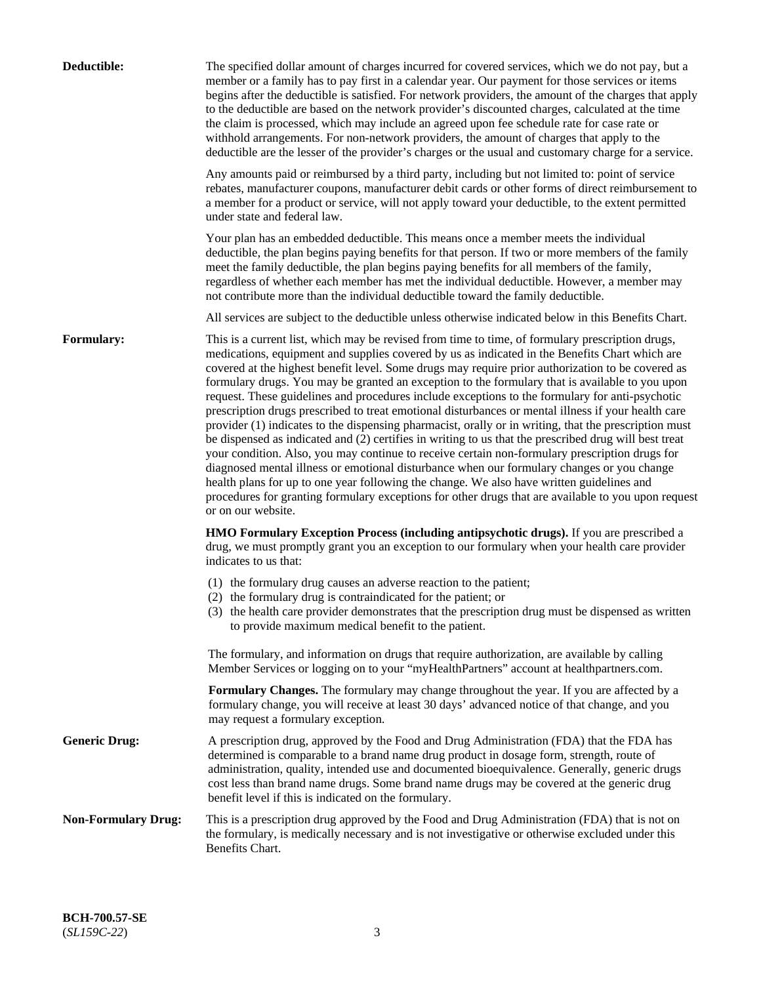| Deductible:                | The specified dollar amount of charges incurred for covered services, which we do not pay, but a<br>member or a family has to pay first in a calendar year. Our payment for those services or items<br>begins after the deductible is satisfied. For network providers, the amount of the charges that apply<br>to the deductible are based on the network provider's discounted charges, calculated at the time<br>the claim is processed, which may include an agreed upon fee schedule rate for case rate or<br>withhold arrangements. For non-network providers, the amount of charges that apply to the<br>deductible are the lesser of the provider's charges or the usual and customary charge for a service.                                                                                                                                                                                                                                                                                                                                                                                                                                                                                                                                             |
|----------------------------|------------------------------------------------------------------------------------------------------------------------------------------------------------------------------------------------------------------------------------------------------------------------------------------------------------------------------------------------------------------------------------------------------------------------------------------------------------------------------------------------------------------------------------------------------------------------------------------------------------------------------------------------------------------------------------------------------------------------------------------------------------------------------------------------------------------------------------------------------------------------------------------------------------------------------------------------------------------------------------------------------------------------------------------------------------------------------------------------------------------------------------------------------------------------------------------------------------------------------------------------------------------|
|                            | Any amounts paid or reimbursed by a third party, including but not limited to: point of service<br>rebates, manufacturer coupons, manufacturer debit cards or other forms of direct reimbursement to<br>a member for a product or service, will not apply toward your deductible, to the extent permitted<br>under state and federal law.                                                                                                                                                                                                                                                                                                                                                                                                                                                                                                                                                                                                                                                                                                                                                                                                                                                                                                                        |
|                            | Your plan has an embedded deductible. This means once a member meets the individual<br>deductible, the plan begins paying benefits for that person. If two or more members of the family<br>meet the family deductible, the plan begins paying benefits for all members of the family,<br>regardless of whether each member has met the individual deductible. However, a member may<br>not contribute more than the individual deductible toward the family deductible.                                                                                                                                                                                                                                                                                                                                                                                                                                                                                                                                                                                                                                                                                                                                                                                         |
|                            | All services are subject to the deductible unless otherwise indicated below in this Benefits Chart.                                                                                                                                                                                                                                                                                                                                                                                                                                                                                                                                                                                                                                                                                                                                                                                                                                                                                                                                                                                                                                                                                                                                                              |
| Formulary:                 | This is a current list, which may be revised from time to time, of formulary prescription drugs,<br>medications, equipment and supplies covered by us as indicated in the Benefits Chart which are<br>covered at the highest benefit level. Some drugs may require prior authorization to be covered as<br>formulary drugs. You may be granted an exception to the formulary that is available to you upon<br>request. These guidelines and procedures include exceptions to the formulary for anti-psychotic<br>prescription drugs prescribed to treat emotional disturbances or mental illness if your health care<br>provider (1) indicates to the dispensing pharmacist, orally or in writing, that the prescription must<br>be dispensed as indicated and (2) certifies in writing to us that the prescribed drug will best treat<br>your condition. Also, you may continue to receive certain non-formulary prescription drugs for<br>diagnosed mental illness or emotional disturbance when our formulary changes or you change<br>health plans for up to one year following the change. We also have written guidelines and<br>procedures for granting formulary exceptions for other drugs that are available to you upon request<br>or on our website. |
|                            | HMO Formulary Exception Process (including antipsychotic drugs). If you are prescribed a<br>drug, we must promptly grant you an exception to our formulary when your health care provider<br>indicates to us that:                                                                                                                                                                                                                                                                                                                                                                                                                                                                                                                                                                                                                                                                                                                                                                                                                                                                                                                                                                                                                                               |
|                            | (1) the formulary drug causes an adverse reaction to the patient;<br>(2) the formulary drug is contraindicated for the patient; or<br>(3) the health care provider demonstrates that the prescription drug must be dispensed as written<br>to provide maximum medical benefit to the patient.                                                                                                                                                                                                                                                                                                                                                                                                                                                                                                                                                                                                                                                                                                                                                                                                                                                                                                                                                                    |
|                            | The formulary, and information on drugs that require authorization, are available by calling<br>Member Services or logging on to your "myHealthPartners" account at healthpartners.com.                                                                                                                                                                                                                                                                                                                                                                                                                                                                                                                                                                                                                                                                                                                                                                                                                                                                                                                                                                                                                                                                          |
|                            | Formulary Changes. The formulary may change throughout the year. If you are affected by a<br>formulary change, you will receive at least 30 days' advanced notice of that change, and you<br>may request a formulary exception.                                                                                                                                                                                                                                                                                                                                                                                                                                                                                                                                                                                                                                                                                                                                                                                                                                                                                                                                                                                                                                  |
| <b>Generic Drug:</b>       | A prescription drug, approved by the Food and Drug Administration (FDA) that the FDA has<br>determined is comparable to a brand name drug product in dosage form, strength, route of<br>administration, quality, intended use and documented bioequivalence. Generally, generic drugs<br>cost less than brand name drugs. Some brand name drugs may be covered at the generic drug<br>benefit level if this is indicated on the formulary.                                                                                                                                                                                                                                                                                                                                                                                                                                                                                                                                                                                                                                                                                                                                                                                                                       |
| <b>Non-Formulary Drug:</b> | This is a prescription drug approved by the Food and Drug Administration (FDA) that is not on<br>the formulary, is medically necessary and is not investigative or otherwise excluded under this<br>Benefits Chart.                                                                                                                                                                                                                                                                                                                                                                                                                                                                                                                                                                                                                                                                                                                                                                                                                                                                                                                                                                                                                                              |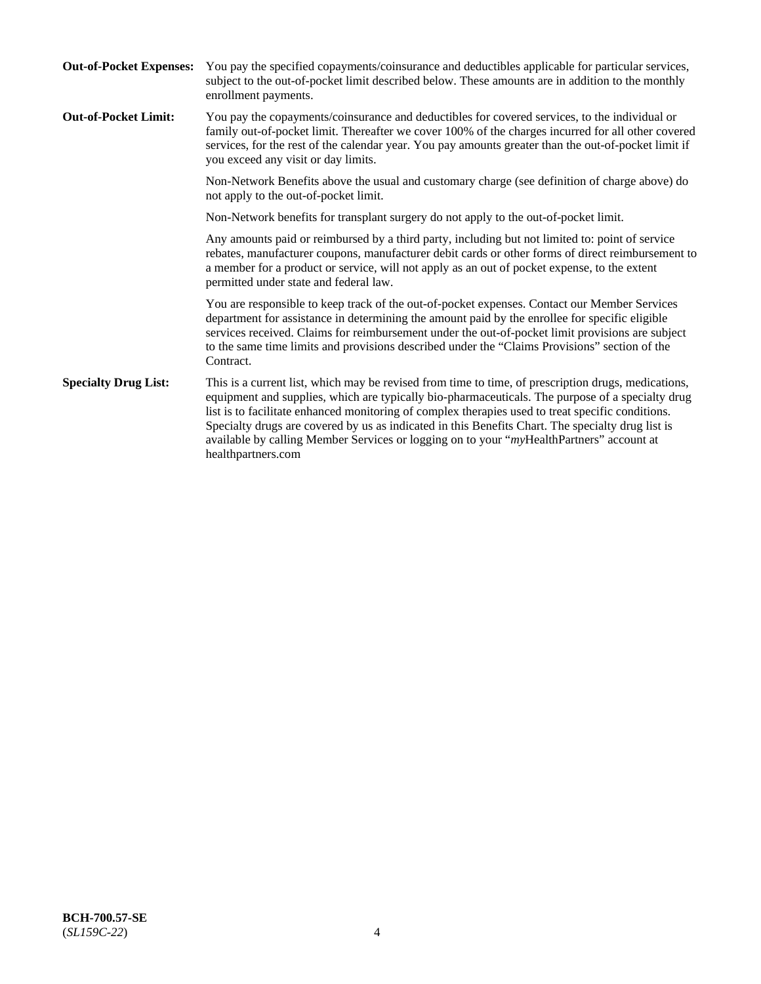| <b>Out-of-Pocket Expenses:</b> | You pay the specified copayments/coinsurance and deductibles applicable for particular services,<br>subject to the out-of-pocket limit described below. These amounts are in addition to the monthly<br>enrollment payments.                                                                                                                                                                                                                                                                                                        |
|--------------------------------|-------------------------------------------------------------------------------------------------------------------------------------------------------------------------------------------------------------------------------------------------------------------------------------------------------------------------------------------------------------------------------------------------------------------------------------------------------------------------------------------------------------------------------------|
| <b>Out-of-Pocket Limit:</b>    | You pay the copayments/coinsurance and deductibles for covered services, to the individual or<br>family out-of-pocket limit. Thereafter we cover 100% of the charges incurred for all other covered<br>services, for the rest of the calendar year. You pay amounts greater than the out-of-pocket limit if<br>you exceed any visit or day limits.                                                                                                                                                                                  |
|                                | Non-Network Benefits above the usual and customary charge (see definition of charge above) do<br>not apply to the out-of-pocket limit.                                                                                                                                                                                                                                                                                                                                                                                              |
|                                | Non-Network benefits for transplant surgery do not apply to the out-of-pocket limit.                                                                                                                                                                                                                                                                                                                                                                                                                                                |
|                                | Any amounts paid or reimbursed by a third party, including but not limited to: point of service<br>rebates, manufacturer coupons, manufacturer debit cards or other forms of direct reimbursement to<br>a member for a product or service, will not apply as an out of pocket expense, to the extent<br>permitted under state and federal law.                                                                                                                                                                                      |
|                                | You are responsible to keep track of the out-of-pocket expenses. Contact our Member Services<br>department for assistance in determining the amount paid by the enrollee for specific eligible<br>services received. Claims for reimbursement under the out-of-pocket limit provisions are subject<br>to the same time limits and provisions described under the "Claims Provisions" section of the<br>Contract.                                                                                                                    |
| <b>Specialty Drug List:</b>    | This is a current list, which may be revised from time to time, of prescription drugs, medications,<br>equipment and supplies, which are typically bio-pharmaceuticals. The purpose of a specialty drug<br>list is to facilitate enhanced monitoring of complex therapies used to treat specific conditions.<br>Specialty drugs are covered by us as indicated in this Benefits Chart. The specialty drug list is<br>available by calling Member Services or logging on to your "myHealthPartners" account at<br>healthpartners.com |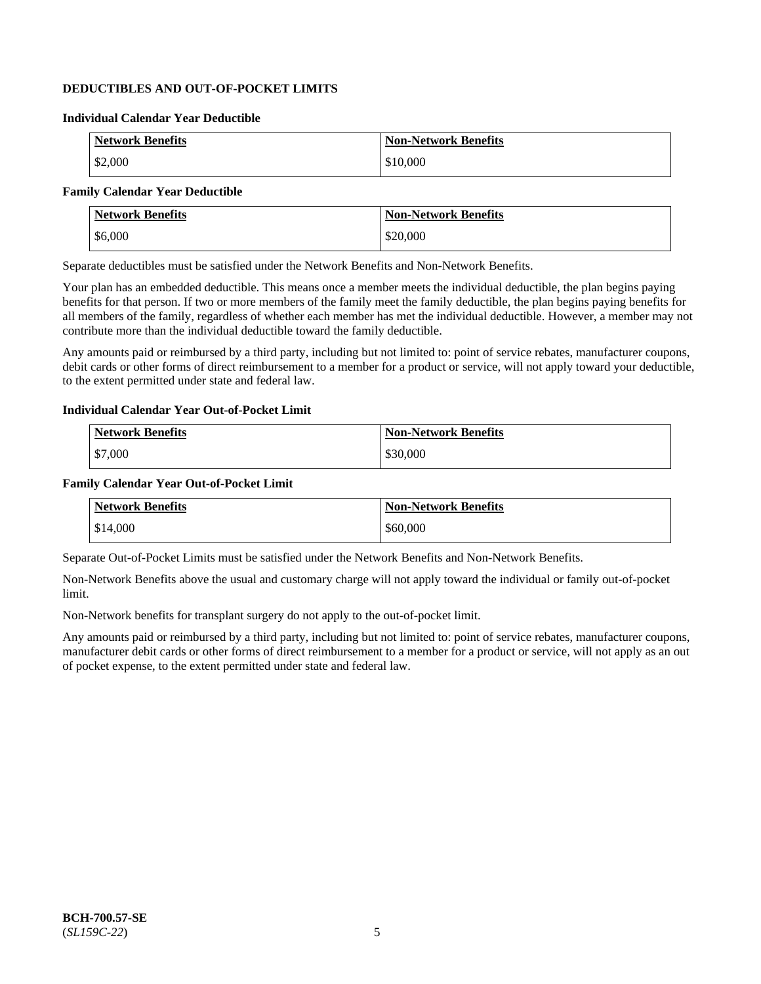# **DEDUCTIBLES AND OUT-OF-POCKET LIMITS**

### **Individual Calendar Year Deductible**

| <b>Network Benefits</b> | <b>Non-Network Benefits</b> |
|-------------------------|-----------------------------|
| \$2,000                 | \$10,000                    |

### **Family Calendar Year Deductible**

| <b>Network Benefits</b> | <b>Non-Network Benefits</b> |
|-------------------------|-----------------------------|
| \$6,000                 | \$20,000                    |

Separate deductibles must be satisfied under the Network Benefits and Non-Network Benefits.

Your plan has an embedded deductible. This means once a member meets the individual deductible, the plan begins paying benefits for that person. If two or more members of the family meet the family deductible, the plan begins paying benefits for all members of the family, regardless of whether each member has met the individual deductible. However, a member may not contribute more than the individual deductible toward the family deductible.

Any amounts paid or reimbursed by a third party, including but not limited to: point of service rebates, manufacturer coupons, debit cards or other forms of direct reimbursement to a member for a product or service, will not apply toward your deductible, to the extent permitted under state and federal law.

#### **Individual Calendar Year Out-of-Pocket Limit**

| <b>Network Benefits</b> | <b>Non-Network Benefits</b> |
|-------------------------|-----------------------------|
| \$7,000                 | \$30,000                    |

#### **Family Calendar Year Out-of-Pocket Limit**

| <b>Network Benefits</b> | Non-Network Benefits |
|-------------------------|----------------------|
| \$14,000                | \$60,000             |

Separate Out-of-Pocket Limits must be satisfied under the Network Benefits and Non-Network Benefits.

Non-Network Benefits above the usual and customary charge will not apply toward the individual or family out-of-pocket limit.

Non-Network benefits for transplant surgery do not apply to the out-of-pocket limit.

Any amounts paid or reimbursed by a third party, including but not limited to: point of service rebates, manufacturer coupons, manufacturer debit cards or other forms of direct reimbursement to a member for a product or service, will not apply as an out of pocket expense, to the extent permitted under state and federal law.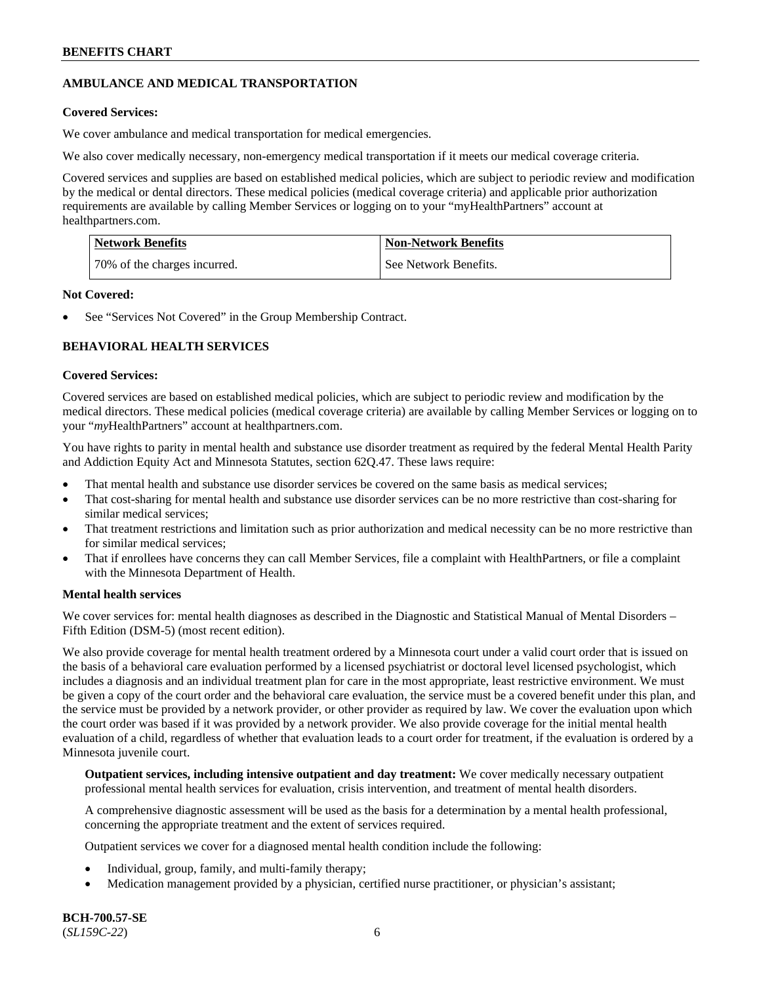# **AMBULANCE AND MEDICAL TRANSPORTATION**

### **Covered Services:**

We cover ambulance and medical transportation for medical emergencies.

We also cover medically necessary, non-emergency medical transportation if it meets our medical coverage criteria.

Covered services and supplies are based on established medical policies, which are subject to periodic review and modification by the medical or dental directors. These medical policies (medical coverage criteria) and applicable prior authorization requirements are available by calling Member Services or logging on to your "myHealthPartners" account at [healthpartners.com.](https://www.healthpartners.com/hp/index.html)

| <b>Network Benefits</b>      | <b>Non-Network Benefits</b> |
|------------------------------|-----------------------------|
| 70% of the charges incurred. | See Network Benefits.       |

### **Not Covered:**

See "Services Not Covered" in the Group Membership Contract.

# **BEHAVIORAL HEALTH SERVICES**

#### **Covered Services:**

Covered services are based on established medical policies, which are subject to periodic review and modification by the medical directors. These medical policies (medical coverage criteria) are available by calling Member Services or logging on to your "*my*HealthPartners" account at [healthpartners.com.](http://www.healthpartners.com/)

You have rights to parity in mental health and substance use disorder treatment as required by the federal Mental Health Parity and Addiction Equity Act and Minnesota Statutes, section 62Q.47. These laws require:

- That mental health and substance use disorder services be covered on the same basis as medical services;
- That cost-sharing for mental health and substance use disorder services can be no more restrictive than cost-sharing for similar medical services;
- That treatment restrictions and limitation such as prior authorization and medical necessity can be no more restrictive than for similar medical services;
- That if enrollees have concerns they can call Member Services, file a complaint with HealthPartners, or file a complaint with the Minnesota Department of Health.

### **Mental health services**

We cover services for: mental health diagnoses as described in the Diagnostic and Statistical Manual of Mental Disorders – Fifth Edition (DSM-5) (most recent edition).

We also provide coverage for mental health treatment ordered by a Minnesota court under a valid court order that is issued on the basis of a behavioral care evaluation performed by a licensed psychiatrist or doctoral level licensed psychologist, which includes a diagnosis and an individual treatment plan for care in the most appropriate, least restrictive environment. We must be given a copy of the court order and the behavioral care evaluation, the service must be a covered benefit under this plan, and the service must be provided by a network provider, or other provider as required by law. We cover the evaluation upon which the court order was based if it was provided by a network provider. We also provide coverage for the initial mental health evaluation of a child, regardless of whether that evaluation leads to a court order for treatment, if the evaluation is ordered by a Minnesota juvenile court.

**Outpatient services, including intensive outpatient and day treatment:** We cover medically necessary outpatient professional mental health services for evaluation, crisis intervention, and treatment of mental health disorders.

A comprehensive diagnostic assessment will be used as the basis for a determination by a mental health professional, concerning the appropriate treatment and the extent of services required.

Outpatient services we cover for a diagnosed mental health condition include the following:

- Individual, group, family, and multi-family therapy;
- Medication management provided by a physician, certified nurse practitioner, or physician's assistant;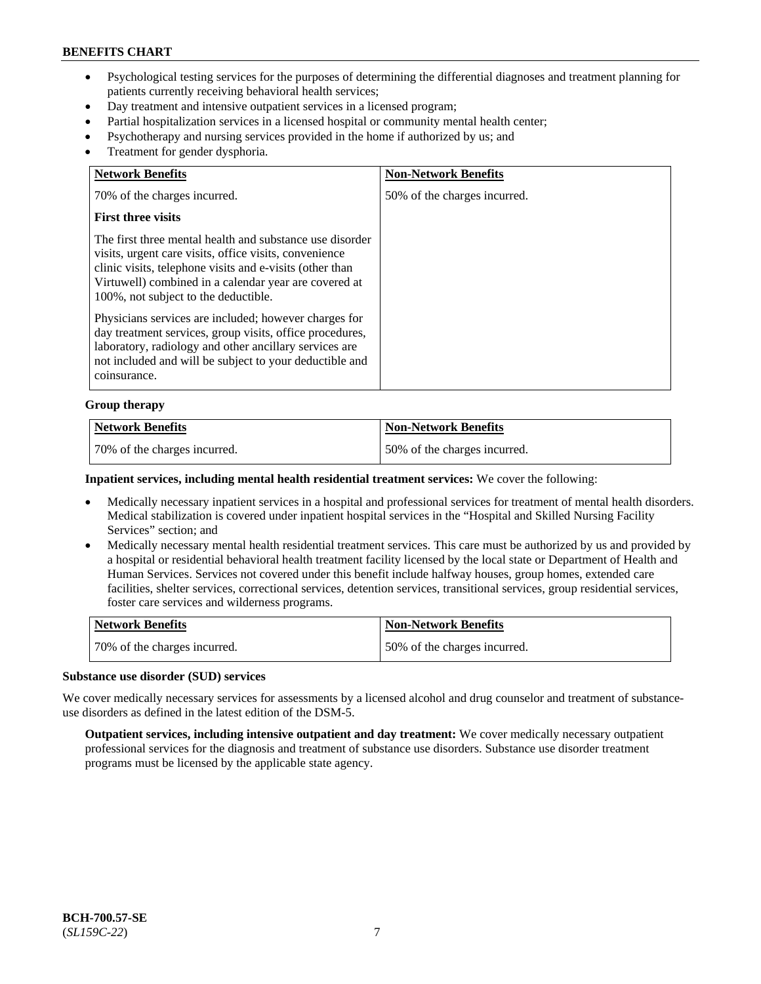- Psychological testing services for the purposes of determining the differential diagnoses and treatment planning for patients currently receiving behavioral health services;
- Day treatment and intensive outpatient services in a licensed program;
- Partial hospitalization services in a licensed hospital or community mental health center;
- Psychotherapy and nursing services provided in the home if authorized by us; and
- Treatment for gender dysphoria.

| <b>Network Benefits</b>                                                                                                                                                                                                                                                         | <b>Non-Network Benefits</b>  |
|---------------------------------------------------------------------------------------------------------------------------------------------------------------------------------------------------------------------------------------------------------------------------------|------------------------------|
| 70% of the charges incurred.                                                                                                                                                                                                                                                    | 50% of the charges incurred. |
| <b>First three visits</b>                                                                                                                                                                                                                                                       |                              |
| The first three mental health and substance use disorder<br>visits, urgent care visits, office visits, convenience<br>clinic visits, telephone visits and e-visits (other than<br>Virtuwell) combined in a calendar year are covered at<br>100%, not subject to the deductible. |                              |
| Physicians services are included; however charges for<br>day treatment services, group visits, office procedures,<br>laboratory, radiology and other ancillary services are<br>not included and will be subject to your deductible and<br>coinsurance.                          |                              |

#### **Group therapy**

| <b>Network Benefits</b>      | <b>Non-Network Benefits</b>  |
|------------------------------|------------------------------|
| 70% of the charges incurred. | 50% of the charges incurred. |

#### **Inpatient services, including mental health residential treatment services:** We cover the following:

- Medically necessary inpatient services in a hospital and professional services for treatment of mental health disorders. Medical stabilization is covered under inpatient hospital services in the "Hospital and Skilled Nursing Facility Services" section; and
- Medically necessary mental health residential treatment services. This care must be authorized by us and provided by a hospital or residential behavioral health treatment facility licensed by the local state or Department of Health and Human Services. Services not covered under this benefit include halfway houses, group homes, extended care facilities, shelter services, correctional services, detention services, transitional services, group residential services, foster care services and wilderness programs.

| Network Benefits             | Non-Network Benefits         |
|------------------------------|------------------------------|
| 70% of the charges incurred. | 50% of the charges incurred. |

### **Substance use disorder (SUD) services**

We cover medically necessary services for assessments by a licensed alcohol and drug counselor and treatment of substanceuse disorders as defined in the latest edition of the DSM-5.

**Outpatient services, including intensive outpatient and day treatment:** We cover medically necessary outpatient professional services for the diagnosis and treatment of substance use disorders. Substance use disorder treatment programs must be licensed by the applicable state agency.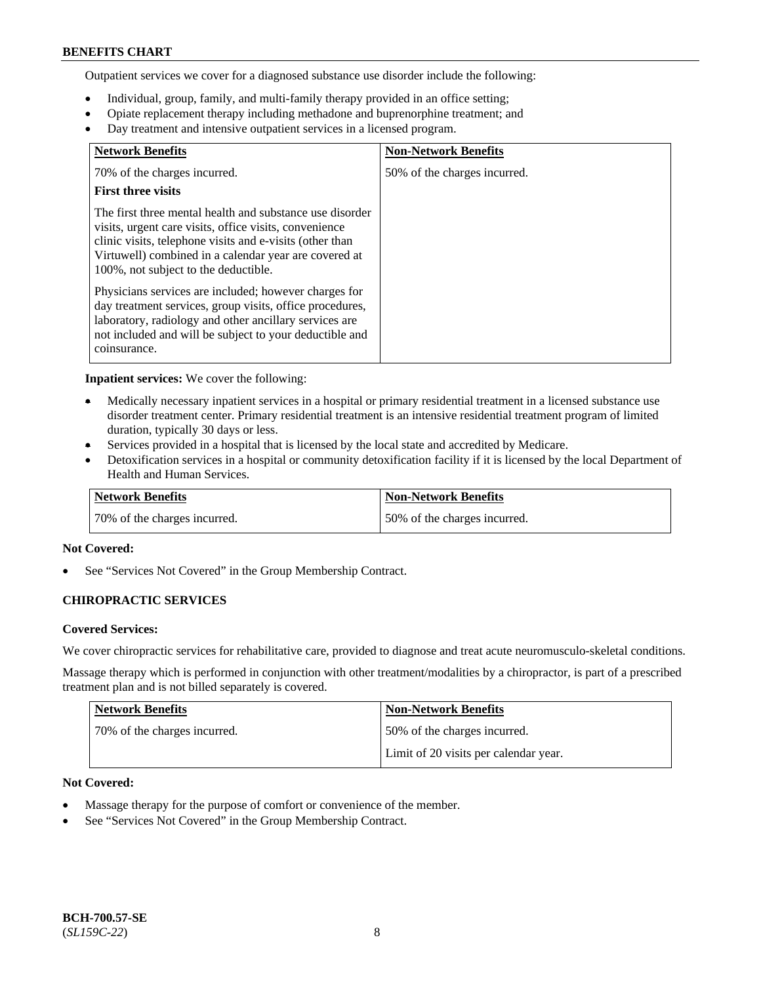Outpatient services we cover for a diagnosed substance use disorder include the following:

- Individual, group, family, and multi-family therapy provided in an office setting;
- Opiate replacement therapy including methadone and buprenorphine treatment; and
- Day treatment and intensive outpatient services in a licensed program.

| <b>Network Benefits</b>                                                                                                                                                                                                                                                         | <b>Non-Network Benefits</b>  |
|---------------------------------------------------------------------------------------------------------------------------------------------------------------------------------------------------------------------------------------------------------------------------------|------------------------------|
| 70% of the charges incurred.                                                                                                                                                                                                                                                    | 50% of the charges incurred. |
| <b>First three visits</b>                                                                                                                                                                                                                                                       |                              |
| The first three mental health and substance use disorder<br>visits, urgent care visits, office visits, convenience<br>clinic visits, telephone visits and e-visits (other than<br>Virtuwell) combined in a calendar year are covered at<br>100%, not subject to the deductible. |                              |
| Physicians services are included; however charges for<br>day treatment services, group visits, office procedures,<br>laboratory, radiology and other ancillary services are<br>not included and will be subject to your deductible and<br>coinsurance.                          |                              |

**Inpatient services:** We cover the following:

- Medically necessary inpatient services in a hospital or primary residential treatment in a licensed substance use disorder treatment center. Primary residential treatment is an intensive residential treatment program of limited duration, typically 30 days or less.
- Services provided in a hospital that is licensed by the local state and accredited by Medicare.
- Detoxification services in a hospital or community detoxification facility if it is licensed by the local Department of Health and Human Services.

| <b>Network Benefits</b>      | <b>Non-Network Benefits</b>  |
|------------------------------|------------------------------|
| 70% of the charges incurred. | 50% of the charges incurred. |

### **Not Covered:**

See "Services Not Covered" in the Group Membership Contract.

### **CHIROPRACTIC SERVICES**

### **Covered Services:**

We cover chiropractic services for rehabilitative care, provided to diagnose and treat acute neuromusculo-skeletal conditions.

Massage therapy which is performed in conjunction with other treatment/modalities by a chiropractor, is part of a prescribed treatment plan and is not billed separately is covered.

| Network Benefits             | <b>Non-Network Benefits</b>           |
|------------------------------|---------------------------------------|
| 70% of the charges incurred. | 50% of the charges incurred.          |
|                              | Limit of 20 visits per calendar year. |

### **Not Covered:**

- Massage therapy for the purpose of comfort or convenience of the member.
- See "Services Not Covered" in the Group Membership Contract.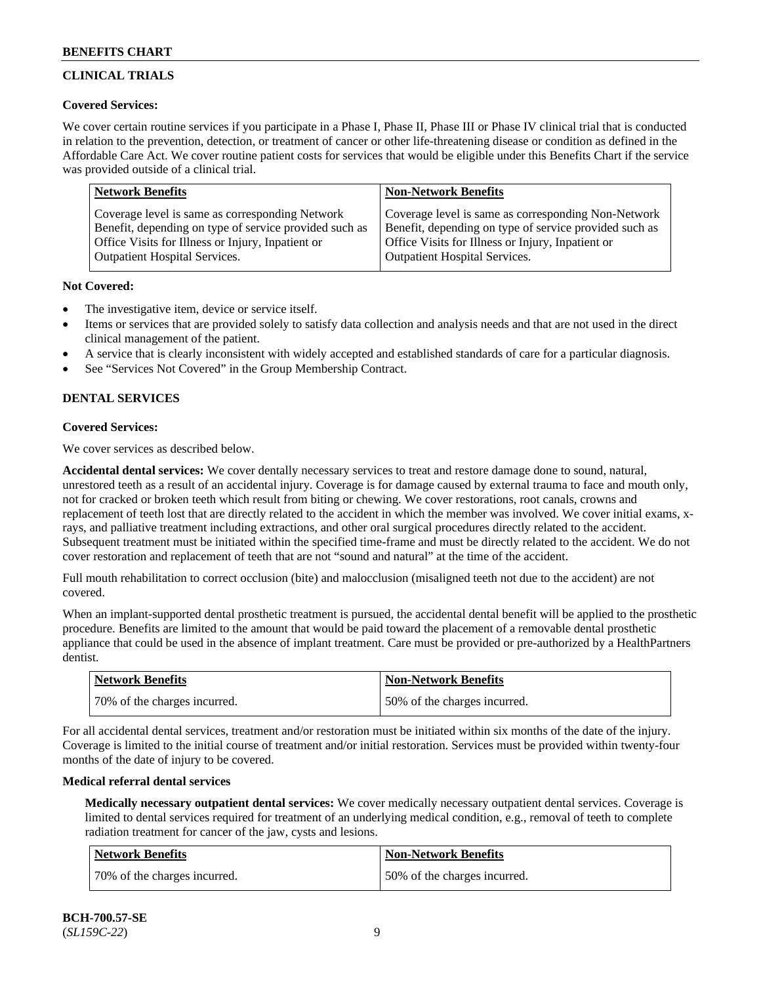# **CLINICAL TRIALS**

### **Covered Services:**

We cover certain routine services if you participate in a Phase I, Phase II, Phase III or Phase IV clinical trial that is conducted in relation to the prevention, detection, or treatment of cancer or other life-threatening disease or condition as defined in the Affordable Care Act. We cover routine patient costs for services that would be eligible under this Benefits Chart if the service was provided outside of a clinical trial.

| <b>Network Benefits</b>                                | <b>Non-Network Benefits</b>                            |
|--------------------------------------------------------|--------------------------------------------------------|
| Coverage level is same as corresponding Network        | Coverage level is same as corresponding Non-Network    |
| Benefit, depending on type of service provided such as | Benefit, depending on type of service provided such as |
| Office Visits for Illness or Injury, Inpatient or      | Office Visits for Illness or Injury, Inpatient or      |
| <b>Outpatient Hospital Services.</b>                   | <b>Outpatient Hospital Services.</b>                   |

### **Not Covered:**

- The investigative item, device or service itself.
- Items or services that are provided solely to satisfy data collection and analysis needs and that are not used in the direct clinical management of the patient.
- A service that is clearly inconsistent with widely accepted and established standards of care for a particular diagnosis.
- See "Services Not Covered" in the Group Membership Contract.

# **DENTAL SERVICES**

# **Covered Services:**

We cover services as described below.

**Accidental dental services:** We cover dentally necessary services to treat and restore damage done to sound, natural, unrestored teeth as a result of an accidental injury. Coverage is for damage caused by external trauma to face and mouth only, not for cracked or broken teeth which result from biting or chewing. We cover restorations, root canals, crowns and replacement of teeth lost that are directly related to the accident in which the member was involved. We cover initial exams, xrays, and palliative treatment including extractions, and other oral surgical procedures directly related to the accident. Subsequent treatment must be initiated within the specified time-frame and must be directly related to the accident. We do not cover restoration and replacement of teeth that are not "sound and natural" at the time of the accident.

Full mouth rehabilitation to correct occlusion (bite) and malocclusion (misaligned teeth not due to the accident) are not covered.

When an implant-supported dental prosthetic treatment is pursued, the accidental dental benefit will be applied to the prosthetic procedure. Benefits are limited to the amount that would be paid toward the placement of a removable dental prosthetic appliance that could be used in the absence of implant treatment. Care must be provided or pre-authorized by a HealthPartners dentist.

| <b>Network Benefits</b>      | <b>Non-Network Benefits</b>  |
|------------------------------|------------------------------|
| 70% of the charges incurred. | 50% of the charges incurred. |

For all accidental dental services, treatment and/or restoration must be initiated within six months of the date of the injury. Coverage is limited to the initial course of treatment and/or initial restoration. Services must be provided within twenty-four months of the date of injury to be covered.

# **Medical referral dental services**

**Medically necessary outpatient dental services:** We cover medically necessary outpatient dental services. Coverage is limited to dental services required for treatment of an underlying medical condition, e.g., removal of teeth to complete radiation treatment for cancer of the jaw, cysts and lesions.

| Network Benefits             | <b>Non-Network Benefits</b>  |
|------------------------------|------------------------------|
| 70% of the charges incurred. | 50% of the charges incurred. |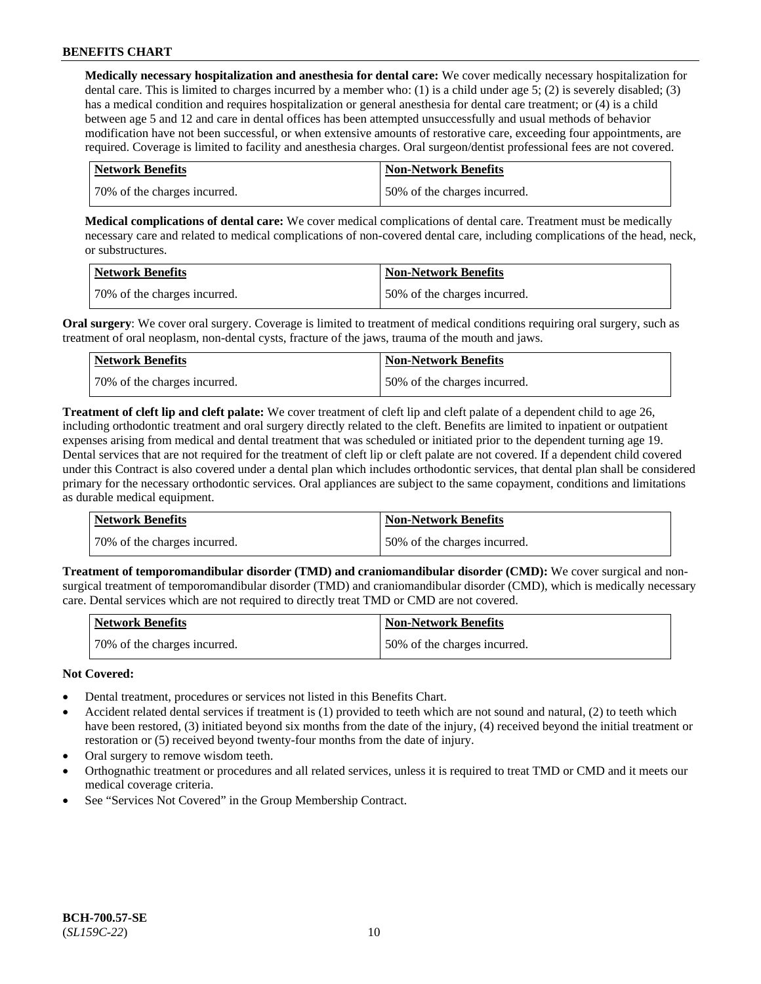**Medically necessary hospitalization and anesthesia for dental care:** We cover medically necessary hospitalization for dental care. This is limited to charges incurred by a member who: (1) is a child under age 5; (2) is severely disabled; (3) has a medical condition and requires hospitalization or general anesthesia for dental care treatment; or (4) is a child between age 5 and 12 and care in dental offices has been attempted unsuccessfully and usual methods of behavior modification have not been successful, or when extensive amounts of restorative care, exceeding four appointments, are required. Coverage is limited to facility and anesthesia charges. Oral surgeon/dentist professional fees are not covered.

| <b>Network Benefits</b>      | Non-Network Benefits         |
|------------------------------|------------------------------|
| 70% of the charges incurred. | 50% of the charges incurred. |

**Medical complications of dental care:** We cover medical complications of dental care. Treatment must be medically necessary care and related to medical complications of non-covered dental care, including complications of the head, neck, or substructures.

| <b>Network Benefits</b>      | <b>Non-Network Benefits</b>  |
|------------------------------|------------------------------|
| 70% of the charges incurred. | 50% of the charges incurred. |

**Oral surgery:** We cover oral surgery. Coverage is limited to treatment of medical conditions requiring oral surgery, such as treatment of oral neoplasm, non-dental cysts, fracture of the jaws, trauma of the mouth and jaws.

| <b>Network Benefits</b>      | <b>Non-Network Benefits</b>  |
|------------------------------|------------------------------|
| 70% of the charges incurred. | 50% of the charges incurred. |

**Treatment of cleft lip and cleft palate:** We cover treatment of cleft lip and cleft palate of a dependent child to age 26, including orthodontic treatment and oral surgery directly related to the cleft. Benefits are limited to inpatient or outpatient expenses arising from medical and dental treatment that was scheduled or initiated prior to the dependent turning age 19. Dental services that are not required for the treatment of cleft lip or cleft palate are not covered. If a dependent child covered under this Contract is also covered under a dental plan which includes orthodontic services, that dental plan shall be considered primary for the necessary orthodontic services. Oral appliances are subject to the same copayment, conditions and limitations as durable medical equipment.

| <b>Network Benefits</b>      | <b>Non-Network Benefits</b>  |
|------------------------------|------------------------------|
| 70% of the charges incurred. | 50% of the charges incurred. |

**Treatment of temporomandibular disorder (TMD) and craniomandibular disorder (CMD):** We cover surgical and nonsurgical treatment of temporomandibular disorder (TMD) and craniomandibular disorder (CMD), which is medically necessary care. Dental services which are not required to directly treat TMD or CMD are not covered.

| <b>Network Benefits</b>      | <b>Non-Network Benefits</b>  |
|------------------------------|------------------------------|
| 70% of the charges incurred. | 50% of the charges incurred. |

### **Not Covered:**

- Dental treatment, procedures or services not listed in this Benefits Chart.
- Accident related dental services if treatment is (1) provided to teeth which are not sound and natural, (2) to teeth which have been restored, (3) initiated beyond six months from the date of the injury, (4) received beyond the initial treatment or restoration or (5) received beyond twenty-four months from the date of injury.
- Oral surgery to remove wisdom teeth.
- Orthognathic treatment or procedures and all related services, unless it is required to treat TMD or CMD and it meets our medical coverage criteria.
- See "Services Not Covered" in the Group Membership Contract.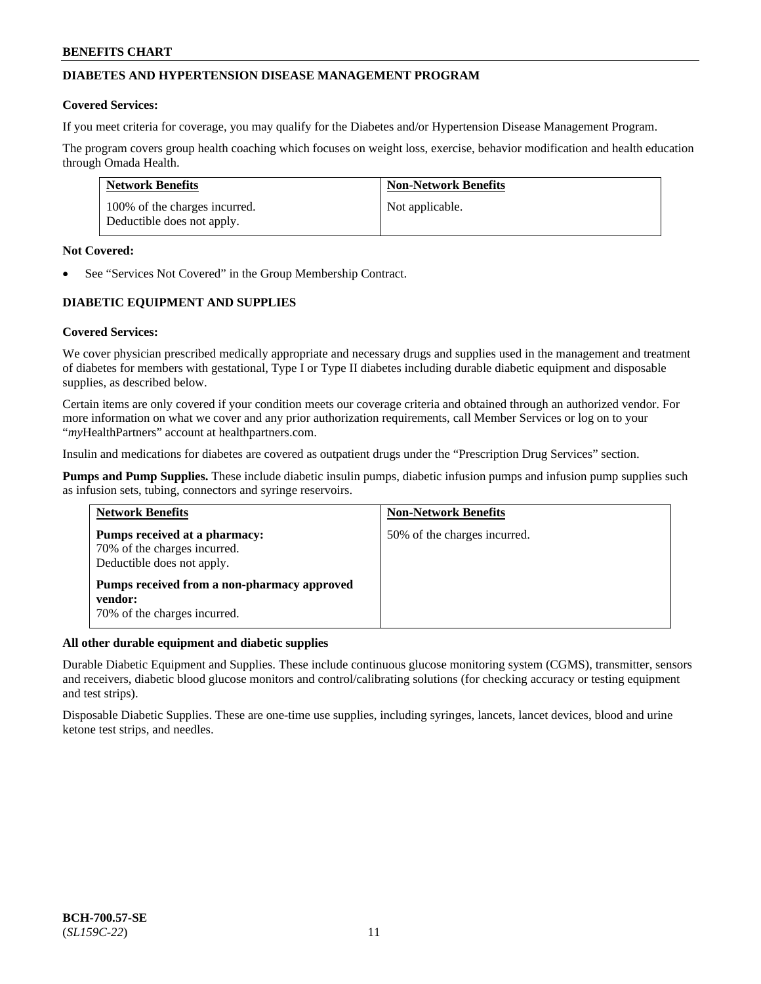# **DIABETES AND HYPERTENSION DISEASE MANAGEMENT PROGRAM**

### **Covered Services:**

If you meet criteria for coverage, you may qualify for the Diabetes and/or Hypertension Disease Management Program.

The program covers group health coaching which focuses on weight loss, exercise, behavior modification and health education through Omada Health.

| <b>Network Benefits</b>                                     | <b>Non-Network Benefits</b> |
|-------------------------------------------------------------|-----------------------------|
| 100% of the charges incurred.<br>Deductible does not apply. | Not applicable.             |

#### **Not Covered:**

See "Services Not Covered" in the Group Membership Contract.

# **DIABETIC EQUIPMENT AND SUPPLIES**

### **Covered Services:**

We cover physician prescribed medically appropriate and necessary drugs and supplies used in the management and treatment of diabetes for members with gestational, Type I or Type II diabetes including durable diabetic equipment and disposable supplies, as described below.

Certain items are only covered if your condition meets our coverage criteria and obtained through an authorized vendor. For more information on what we cover and any prior authorization requirements, call Member Services or log on to your "*my*HealthPartners" account at [healthpartners.com.](http://www.healthpartners.com/)

Insulin and medications for diabetes are covered as outpatient drugs under the "Prescription Drug Services" section.

**Pumps and Pump Supplies.** These include diabetic insulin pumps, diabetic infusion pumps and infusion pump supplies such as infusion sets, tubing, connectors and syringe reservoirs.

| <b>Network Benefits</b>                                                                     | <b>Non-Network Benefits</b>  |
|---------------------------------------------------------------------------------------------|------------------------------|
| Pumps received at a pharmacy:<br>70% of the charges incurred.<br>Deductible does not apply. | 50% of the charges incurred. |
| Pumps received from a non-pharmacy approved<br>vendor:<br>70% of the charges incurred.      |                              |

### **All other durable equipment and diabetic supplies**

Durable Diabetic Equipment and Supplies. These include continuous glucose monitoring system (CGMS), transmitter, sensors and receivers, diabetic blood glucose monitors and control/calibrating solutions (for checking accuracy or testing equipment and test strips).

Disposable Diabetic Supplies. These are one-time use supplies, including syringes, lancets, lancet devices, blood and urine ketone test strips, and needles.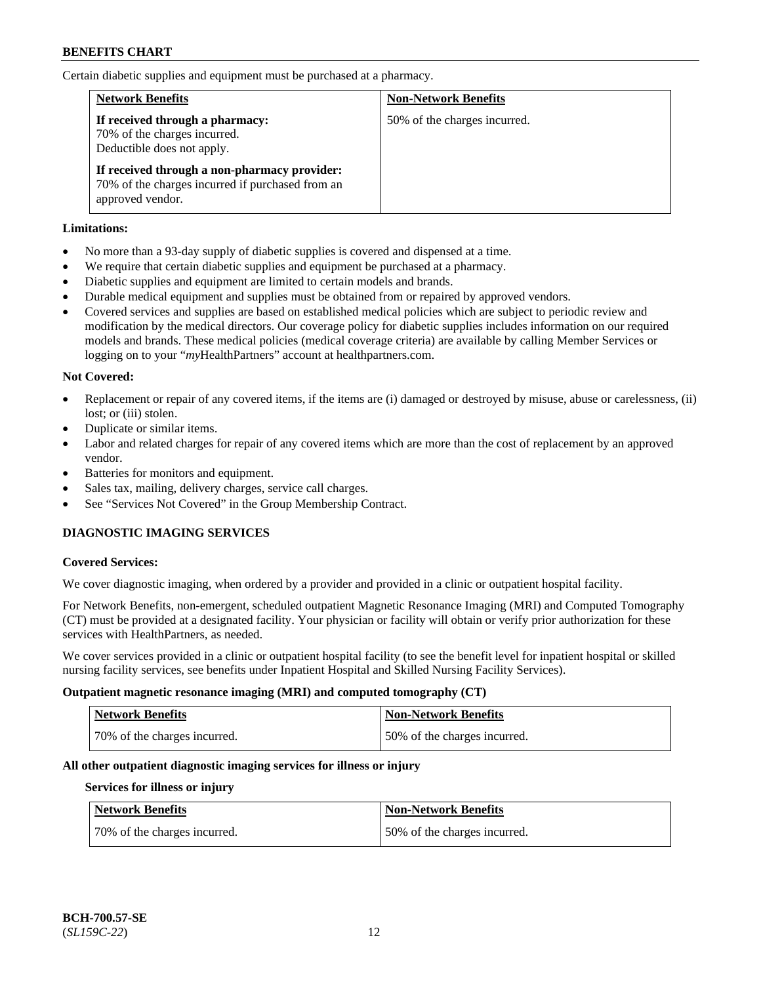Certain diabetic supplies and equipment must be purchased at a pharmacy.

| <b>Network Benefits</b>                                                                                              | <b>Non-Network Benefits</b>  |
|----------------------------------------------------------------------------------------------------------------------|------------------------------|
| If received through a pharmacy:<br>70% of the charges incurred.<br>Deductible does not apply.                        | 50% of the charges incurred. |
| If received through a non-pharmacy provider:<br>70% of the charges incurred if purchased from an<br>approved vendor. |                              |

### **Limitations:**

- No more than a 93-day supply of diabetic supplies is covered and dispensed at a time.
- We require that certain diabetic supplies and equipment be purchased at a pharmacy.
- Diabetic supplies and equipment are limited to certain models and brands.
- Durable medical equipment and supplies must be obtained from or repaired by approved vendors.
- Covered services and supplies are based on established medical policies which are subject to periodic review and modification by the medical directors. Our coverage policy for diabetic supplies includes information on our required models and brands. These medical policies (medical coverage criteria) are available by calling Member Services or logging on to your "*my*HealthPartners" account at [healthpartners.com.](http://www.healthpartners.com/)

# **Not Covered:**

- Replacement or repair of any covered items, if the items are (i) damaged or destroyed by misuse, abuse or carelessness, (ii) lost: or (iii) stolen.
- Duplicate or similar items.
- Labor and related charges for repair of any covered items which are more than the cost of replacement by an approved vendor.
- Batteries for monitors and equipment.
- Sales tax, mailing, delivery charges, service call charges.
- See "Services Not Covered" in the Group Membership Contract.

# **DIAGNOSTIC IMAGING SERVICES**

### **Covered Services:**

We cover diagnostic imaging, when ordered by a provider and provided in a clinic or outpatient hospital facility.

For Network Benefits, non-emergent, scheduled outpatient Magnetic Resonance Imaging (MRI) and Computed Tomography (CT) must be provided at a designated facility. Your physician or facility will obtain or verify prior authorization for these services with HealthPartners, as needed.

We cover services provided in a clinic or outpatient hospital facility (to see the benefit level for inpatient hospital or skilled nursing facility services, see benefits under Inpatient Hospital and Skilled Nursing Facility Services).

### **Outpatient magnetic resonance imaging (MRI) and computed tomography (CT)**

| <b>Network Benefits</b>      | <b>Non-Network Benefits</b>  |
|------------------------------|------------------------------|
| 70% of the charges incurred. | 50% of the charges incurred. |

### **All other outpatient diagnostic imaging services for illness or injury**

### **Services for illness or injury**

| <b>Network Benefits</b>      | <b>Non-Network Benefits</b>   |
|------------------------------|-------------------------------|
| 70% of the charges incurred. | 150% of the charges incurred. |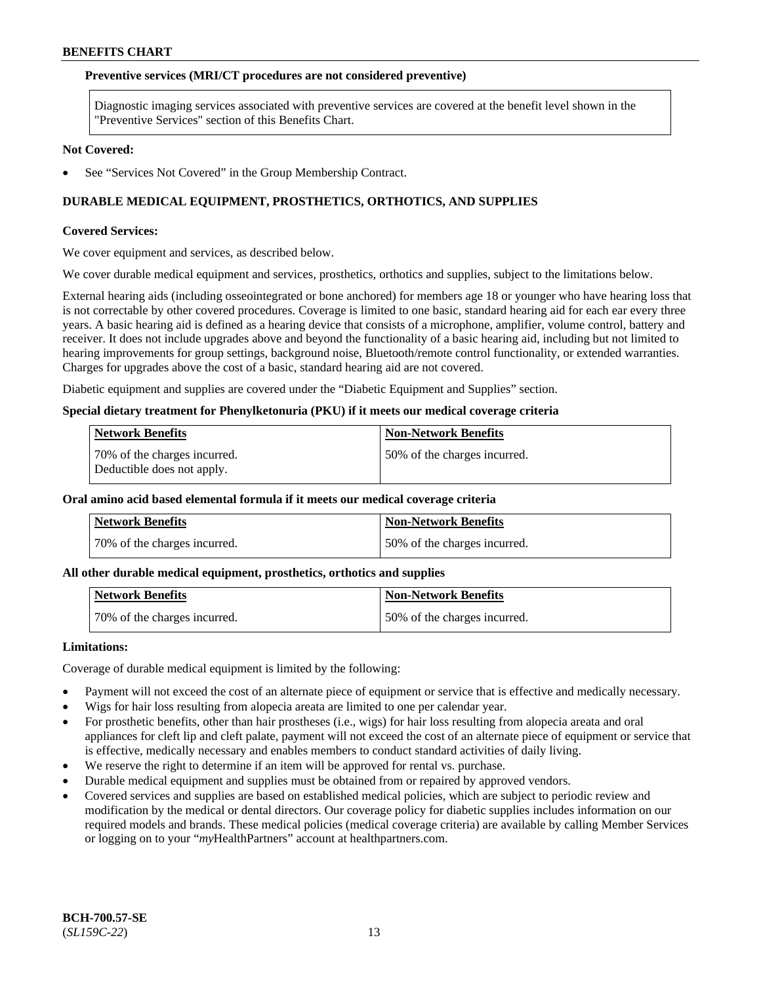#### **Preventive services (MRI/CT procedures are not considered preventive)**

Diagnostic imaging services associated with preventive services are covered at the benefit level shown in the "Preventive Services" section of this Benefits Chart.

#### **Not Covered:**

See "Services Not Covered" in the Group Membership Contract.

# **DURABLE MEDICAL EQUIPMENT, PROSTHETICS, ORTHOTICS, AND SUPPLIES**

#### **Covered Services:**

We cover equipment and services, as described below.

We cover durable medical equipment and services, prosthetics, orthotics and supplies, subject to the limitations below.

External hearing aids (including osseointegrated or bone anchored) for members age 18 or younger who have hearing loss that is not correctable by other covered procedures. Coverage is limited to one basic, standard hearing aid for each ear every three years. A basic hearing aid is defined as a hearing device that consists of a microphone, amplifier, volume control, battery and receiver. It does not include upgrades above and beyond the functionality of a basic hearing aid, including but not limited to hearing improvements for group settings, background noise, Bluetooth/remote control functionality, or extended warranties. Charges for upgrades above the cost of a basic, standard hearing aid are not covered.

Diabetic equipment and supplies are covered under the "Diabetic Equipment and Supplies" section.

#### **Special dietary treatment for Phenylketonuria (PKU) if it meets our medical coverage criteria**

| <b>Network Benefits</b>                                    | <b>Non-Network Benefits</b>  |
|------------------------------------------------------------|------------------------------|
| 70% of the charges incurred.<br>Deductible does not apply. | 50% of the charges incurred. |

# **Oral amino acid based elemental formula if it meets our medical coverage criteria**

| <b>Network Benefits</b>      | ' Non-Network Benefits       |
|------------------------------|------------------------------|
| 70% of the charges incurred. | 50% of the charges incurred. |

#### **All other durable medical equipment, prosthetics, orthotics and supplies**

| <b>Network Benefits</b>      | <b>Non-Network Benefits</b>  |
|------------------------------|------------------------------|
| 70% of the charges incurred. | 50% of the charges incurred. |

#### **Limitations:**

Coverage of durable medical equipment is limited by the following:

- Payment will not exceed the cost of an alternate piece of equipment or service that is effective and medically necessary.
- Wigs for hair loss resulting from alopecia areata are limited to one per calendar year.
- For prosthetic benefits, other than hair prostheses (i.e., wigs) for hair loss resulting from alopecia areata and oral appliances for cleft lip and cleft palate, payment will not exceed the cost of an alternate piece of equipment or service that is effective, medically necessary and enables members to conduct standard activities of daily living.
- We reserve the right to determine if an item will be approved for rental vs. purchase.
- Durable medical equipment and supplies must be obtained from or repaired by approved vendors.
- Covered services and supplies are based on established medical policies, which are subject to periodic review and modification by the medical or dental directors. Our coverage policy for diabetic supplies includes information on our required models and brands. These medical policies (medical coverage criteria) are available by calling Member Services or logging on to your "*my*HealthPartners" account a[t healthpartners.com.](https://www.healthpartners.com/hp/index.html)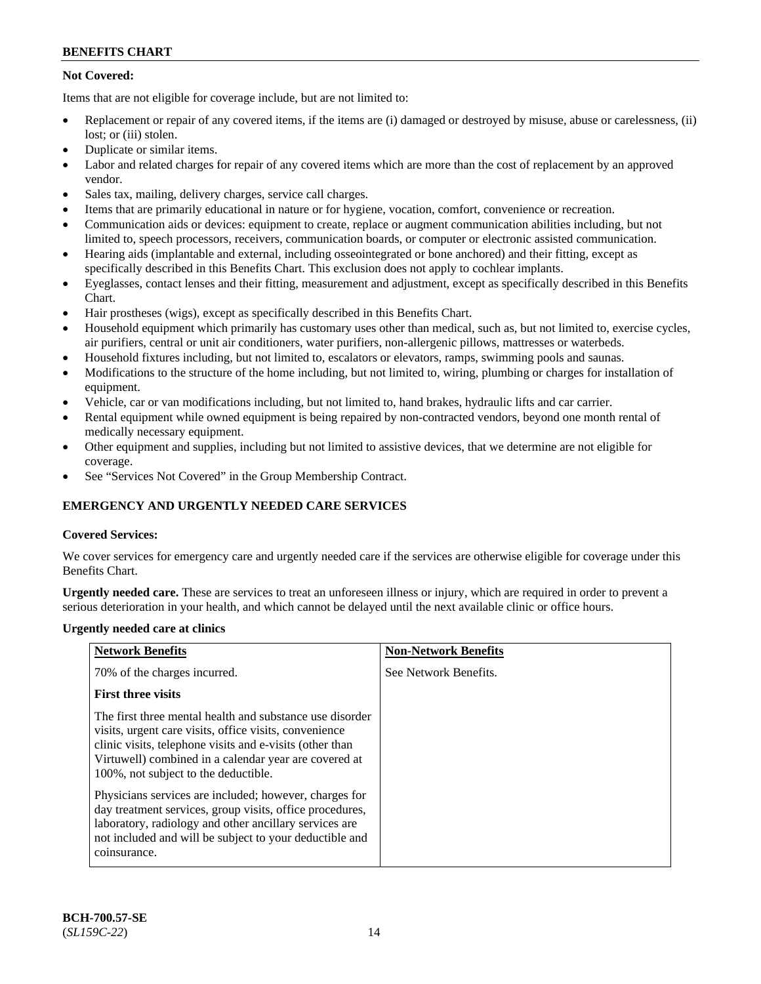# **Not Covered:**

Items that are not eligible for coverage include, but are not limited to:

- Replacement or repair of any covered items, if the items are (i) damaged or destroyed by misuse, abuse or carelessness, (ii) lost; or (iii) stolen.
- Duplicate or similar items.
- Labor and related charges for repair of any covered items which are more than the cost of replacement by an approved vendor.
- Sales tax, mailing, delivery charges, service call charges.
- Items that are primarily educational in nature or for hygiene, vocation, comfort, convenience or recreation.
- Communication aids or devices: equipment to create, replace or augment communication abilities including, but not limited to, speech processors, receivers, communication boards, or computer or electronic assisted communication.
- Hearing aids (implantable and external, including osseointegrated or bone anchored) and their fitting, except as specifically described in this Benefits Chart. This exclusion does not apply to cochlear implants.
- Eyeglasses, contact lenses and their fitting, measurement and adjustment, except as specifically described in this Benefits Chart.
- Hair prostheses (wigs), except as specifically described in this Benefits Chart.
- Household equipment which primarily has customary uses other than medical, such as, but not limited to, exercise cycles, air purifiers, central or unit air conditioners, water purifiers, non-allergenic pillows, mattresses or waterbeds.
- Household fixtures including, but not limited to, escalators or elevators, ramps, swimming pools and saunas.
- Modifications to the structure of the home including, but not limited to, wiring, plumbing or charges for installation of equipment.
- Vehicle, car or van modifications including, but not limited to, hand brakes, hydraulic lifts and car carrier.
- Rental equipment while owned equipment is being repaired by non-contracted vendors, beyond one month rental of medically necessary equipment.
- Other equipment and supplies, including but not limited to assistive devices, that we determine are not eligible for coverage.
- See "Services Not Covered" in the Group Membership Contract.

# **EMERGENCY AND URGENTLY NEEDED CARE SERVICES**

### **Covered Services:**

We cover services for emergency care and urgently needed care if the services are otherwise eligible for coverage under this Benefits Chart.

**Urgently needed care.** These are services to treat an unforeseen illness or injury, which are required in order to prevent a serious deterioration in your health, and which cannot be delayed until the next available clinic or office hours.

### **Urgently needed care at clinics**

| <b>Network Benefits</b>                                                                                                                                                                                                                                                         | <b>Non-Network Benefits</b> |
|---------------------------------------------------------------------------------------------------------------------------------------------------------------------------------------------------------------------------------------------------------------------------------|-----------------------------|
| 70% of the charges incurred.                                                                                                                                                                                                                                                    | See Network Benefits.       |
| <b>First three visits</b>                                                                                                                                                                                                                                                       |                             |
| The first three mental health and substance use disorder<br>visits, urgent care visits, office visits, convenience<br>clinic visits, telephone visits and e-visits (other than<br>Virtuwell) combined in a calendar year are covered at<br>100%, not subject to the deductible. |                             |
| Physicians services are included; however, charges for<br>day treatment services, group visits, office procedures,<br>laboratory, radiology and other ancillary services are<br>not included and will be subject to your deductible and<br>coinsurance.                         |                             |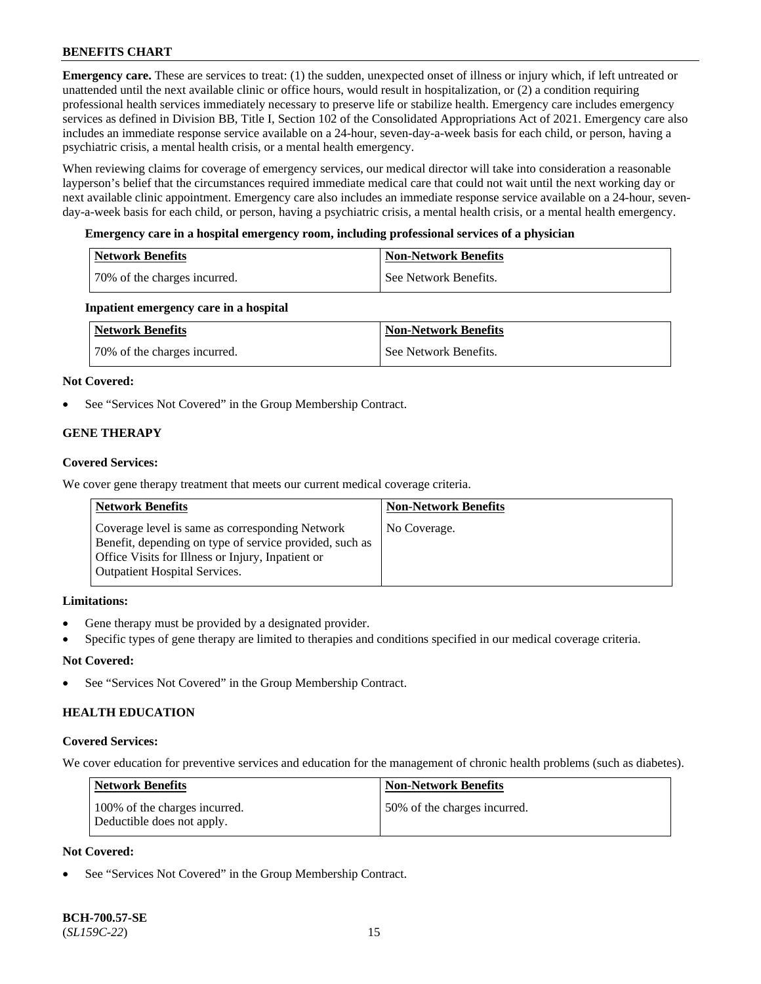**Emergency care.** These are services to treat: (1) the sudden, unexpected onset of illness or injury which, if left untreated or unattended until the next available clinic or office hours, would result in hospitalization, or (2) a condition requiring professional health services immediately necessary to preserve life or stabilize health. Emergency care includes emergency services as defined in Division BB, Title I, Section 102 of the Consolidated Appropriations Act of 2021. Emergency care also includes an immediate response service available on a 24-hour, seven-day-a-week basis for each child, or person, having a psychiatric crisis, a mental health crisis, or a mental health emergency.

When reviewing claims for coverage of emergency services, our medical director will take into consideration a reasonable layperson's belief that the circumstances required immediate medical care that could not wait until the next working day or next available clinic appointment. Emergency care also includes an immediate response service available on a 24-hour, sevenday-a-week basis for each child, or person, having a psychiatric crisis, a mental health crisis, or a mental health emergency.

### **Emergency care in a hospital emergency room, including professional services of a physician**

| <b>Network Benefits</b>      | <b>Non-Network Benefits</b> |
|------------------------------|-----------------------------|
| 70% of the charges incurred. | See Network Benefits.       |

### **Inpatient emergency care in a hospital**

| Network Benefits             | <b>Non-Network Benefits</b> |
|------------------------------|-----------------------------|
| 70% of the charges incurred. | See Network Benefits.       |

# **Not Covered:**

See "Services Not Covered" in the Group Membership Contract.

# **GENE THERAPY**

# **Covered Services:**

We cover gene therapy treatment that meets our current medical coverage criteria.

| <b>Network Benefits</b>                                                                                                                                                                                 | <b>Non-Network Benefits</b> |
|---------------------------------------------------------------------------------------------------------------------------------------------------------------------------------------------------------|-----------------------------|
| Coverage level is same as corresponding Network<br>Benefit, depending on type of service provided, such as<br>Office Visits for Illness or Injury, Inpatient or<br><b>Outpatient Hospital Services.</b> | No Coverage.                |

### **Limitations:**

- Gene therapy must be provided by a designated provider.
- Specific types of gene therapy are limited to therapies and conditions specified in our medical coverage criteria.

# **Not Covered:**

See "Services Not Covered" in the Group Membership Contract.

# **HEALTH EDUCATION**

### **Covered Services:**

We cover education for preventive services and education for the management of chronic health problems (such as diabetes).

| <b>Network Benefits</b>                                     | Non-Network Benefits         |
|-------------------------------------------------------------|------------------------------|
| 100% of the charges incurred.<br>Deductible does not apply. | 50% of the charges incurred. |

# **Not Covered:**

See "Services Not Covered" in the Group Membership Contract.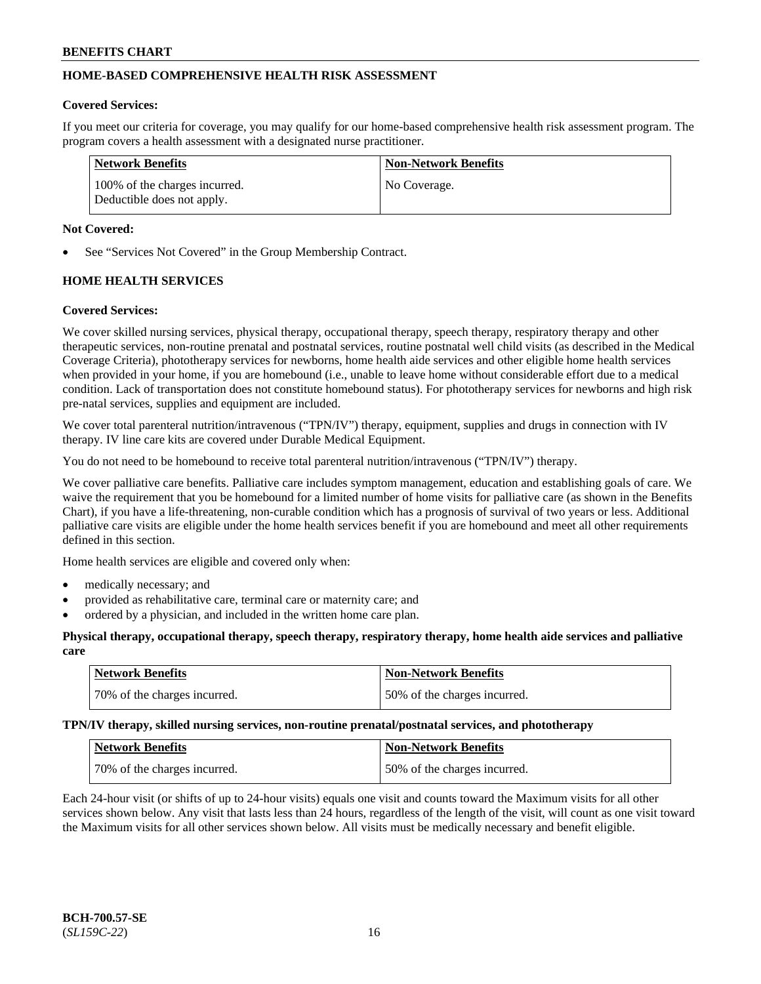# **HOME-BASED COMPREHENSIVE HEALTH RISK ASSESSMENT**

### **Covered Services:**

If you meet our criteria for coverage, you may qualify for our home-based comprehensive health risk assessment program. The program covers a health assessment with a designated nurse practitioner.

| Network Benefits                                            | Non-Network Benefits |
|-------------------------------------------------------------|----------------------|
| 100% of the charges incurred.<br>Deductible does not apply. | No Coverage.         |

### **Not Covered:**

See "Services Not Covered" in the Group Membership Contract.

# **HOME HEALTH SERVICES**

#### **Covered Services:**

We cover skilled nursing services, physical therapy, occupational therapy, speech therapy, respiratory therapy and other therapeutic services, non-routine prenatal and postnatal services, routine postnatal well child visits (as described in the Medical Coverage Criteria), phototherapy services for newborns, home health aide services and other eligible home health services when provided in your home, if you are homebound (i.e., unable to leave home without considerable effort due to a medical condition. Lack of transportation does not constitute homebound status). For phototherapy services for newborns and high risk pre-natal services, supplies and equipment are included.

We cover total parenteral nutrition/intravenous ("TPN/IV") therapy, equipment, supplies and drugs in connection with IV therapy. IV line care kits are covered under Durable Medical Equipment.

You do not need to be homebound to receive total parenteral nutrition/intravenous ("TPN/IV") therapy.

We cover palliative care benefits. Palliative care includes symptom management, education and establishing goals of care. We waive the requirement that you be homebound for a limited number of home visits for palliative care (as shown in the Benefits Chart), if you have a life-threatening, non-curable condition which has a prognosis of survival of two years or less. Additional palliative care visits are eligible under the home health services benefit if you are homebound and meet all other requirements defined in this section.

Home health services are eligible and covered only when:

- medically necessary; and
- provided as rehabilitative care, terminal care or maternity care; and
- ordered by a physician, and included in the written home care plan.

#### **Physical therapy, occupational therapy, speech therapy, respiratory therapy, home health aide services and palliative care**

| <b>Network Benefits</b>       | Non-Network Benefits         |
|-------------------------------|------------------------------|
| 170% of the charges incurred. | 50% of the charges incurred. |

**TPN/IV therapy, skilled nursing services, non-routine prenatal/postnatal services, and phototherapy**

| <b>Network Benefits</b>      | <b>Non-Network Benefits</b>  |
|------------------------------|------------------------------|
| 70% of the charges incurred. | 50% of the charges incurred. |

Each 24-hour visit (or shifts of up to 24-hour visits) equals one visit and counts toward the Maximum visits for all other services shown below. Any visit that lasts less than 24 hours, regardless of the length of the visit, will count as one visit toward the Maximum visits for all other services shown below. All visits must be medically necessary and benefit eligible.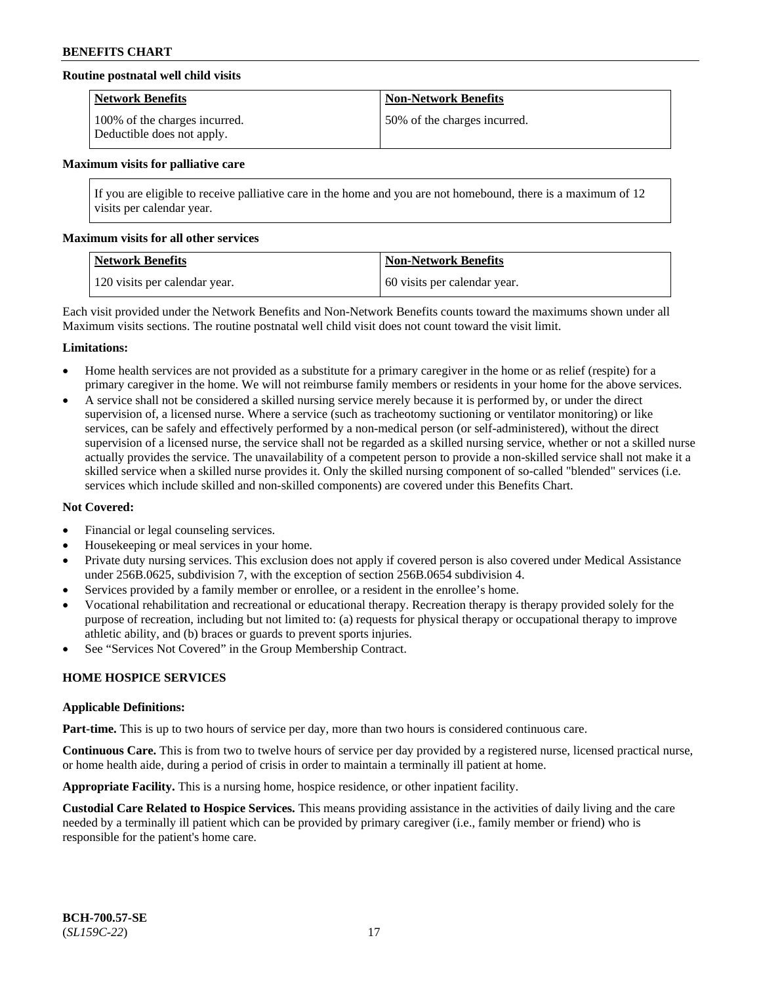### **Routine postnatal well child visits**

| <b>Network Benefits</b>                                     | Non-Network Benefits         |
|-------------------------------------------------------------|------------------------------|
| 100% of the charges incurred.<br>Deductible does not apply. | 50% of the charges incurred. |

#### **Maximum visits for palliative care**

If you are eligible to receive palliative care in the home and you are not homebound, there is a maximum of 12 visits per calendar year.

#### **Maximum visits for all other services**

| <b>Network Benefits</b>       | <b>Non-Network Benefits</b>  |
|-------------------------------|------------------------------|
| 120 visits per calendar year. | 60 visits per calendar year. |

Each visit provided under the Network Benefits and Non-Network Benefits counts toward the maximums shown under all Maximum visits sections. The routine postnatal well child visit does not count toward the visit limit.

### **Limitations:**

- Home health services are not provided as a substitute for a primary caregiver in the home or as relief (respite) for a primary caregiver in the home. We will not reimburse family members or residents in your home for the above services.
- A service shall not be considered a skilled nursing service merely because it is performed by, or under the direct supervision of, a licensed nurse. Where a service (such as tracheotomy suctioning or ventilator monitoring) or like services, can be safely and effectively performed by a non-medical person (or self-administered), without the direct supervision of a licensed nurse, the service shall not be regarded as a skilled nursing service, whether or not a skilled nurse actually provides the service. The unavailability of a competent person to provide a non-skilled service shall not make it a skilled service when a skilled nurse provides it. Only the skilled nursing component of so-called "blended" services (i.e. services which include skilled and non-skilled components) are covered under this Benefits Chart.

### **Not Covered:**

- Financial or legal counseling services.
- Housekeeping or meal services in your home.
- Private duty nursing services. This exclusion does not apply if covered person is also covered under Medical Assistance under 256B.0625, subdivision 7, with the exception of section 256B.0654 subdivision 4.
- Services provided by a family member or enrollee, or a resident in the enrollee's home.
- Vocational rehabilitation and recreational or educational therapy. Recreation therapy is therapy provided solely for the purpose of recreation, including but not limited to: (a) requests for physical therapy or occupational therapy to improve athletic ability, and (b) braces or guards to prevent sports injuries.
- See "Services Not Covered" in the Group Membership Contract.

### **HOME HOSPICE SERVICES**

#### **Applicable Definitions:**

**Part-time.** This is up to two hours of service per day, more than two hours is considered continuous care.

**Continuous Care.** This is from two to twelve hours of service per day provided by a registered nurse, licensed practical nurse, or home health aide, during a period of crisis in order to maintain a terminally ill patient at home.

**Appropriate Facility.** This is a nursing home, hospice residence, or other inpatient facility.

**Custodial Care Related to Hospice Services.** This means providing assistance in the activities of daily living and the care needed by a terminally ill patient which can be provided by primary caregiver (i.e., family member or friend) who is responsible for the patient's home care.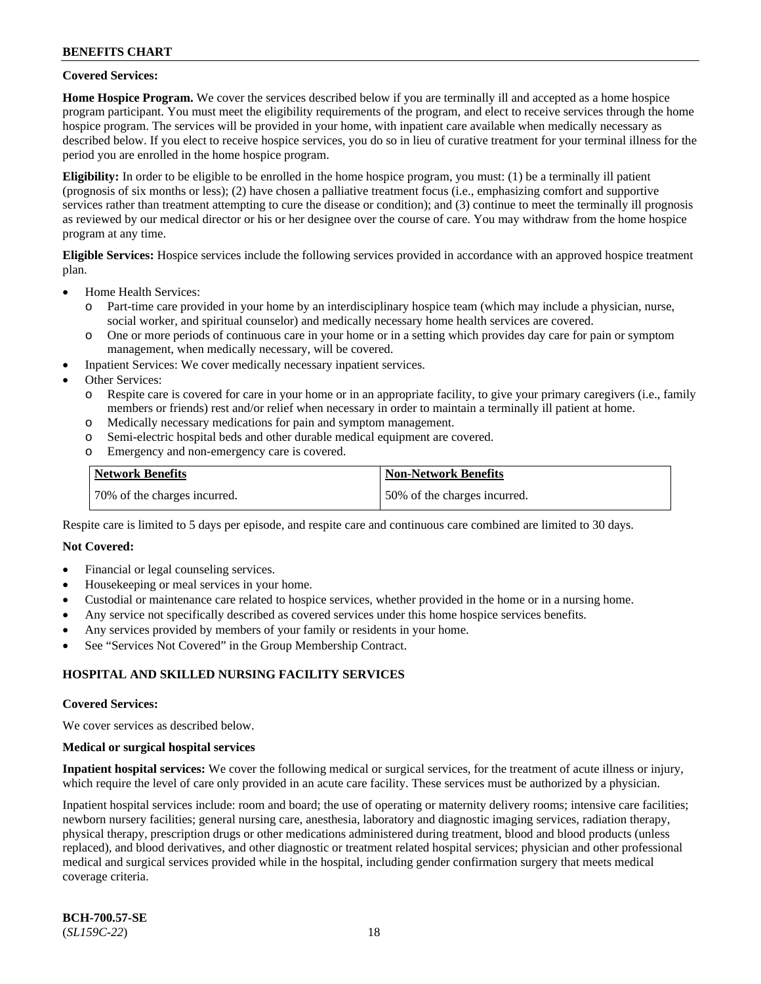### **Covered Services:**

**Home Hospice Program.** We cover the services described below if you are terminally ill and accepted as a home hospice program participant. You must meet the eligibility requirements of the program, and elect to receive services through the home hospice program. The services will be provided in your home, with inpatient care available when medically necessary as described below. If you elect to receive hospice services, you do so in lieu of curative treatment for your terminal illness for the period you are enrolled in the home hospice program.

**Eligibility:** In order to be eligible to be enrolled in the home hospice program, you must: (1) be a terminally ill patient (prognosis of six months or less); (2) have chosen a palliative treatment focus (i.e., emphasizing comfort and supportive services rather than treatment attempting to cure the disease or condition); and (3) continue to meet the terminally ill prognosis as reviewed by our medical director or his or her designee over the course of care. You may withdraw from the home hospice program at any time.

**Eligible Services:** Hospice services include the following services provided in accordance with an approved hospice treatment plan.

- Home Health Services:
	- o Part-time care provided in your home by an interdisciplinary hospice team (which may include a physician, nurse, social worker, and spiritual counselor) and medically necessary home health services are covered.
	- o One or more periods of continuous care in your home or in a setting which provides day care for pain or symptom management, when medically necessary, will be covered.
	- Inpatient Services: We cover medically necessary inpatient services.
- Other Services:
	- o Respite care is covered for care in your home or in an appropriate facility, to give your primary caregivers (i.e., family members or friends) rest and/or relief when necessary in order to maintain a terminally ill patient at home.
	- o Medically necessary medications for pain and symptom management.
	- Semi-electric hospital beds and other durable medical equipment are covered.
	- o Emergency and non-emergency care is covered.

| <b>Network Benefits</b>      | Non-Network Benefits         |
|------------------------------|------------------------------|
| 70% of the charges incurred. | 50% of the charges incurred. |

Respite care is limited to 5 days per episode, and respite care and continuous care combined are limited to 30 days.

### **Not Covered:**

- Financial or legal counseling services.
- Housekeeping or meal services in your home.
- Custodial or maintenance care related to hospice services, whether provided in the home or in a nursing home.
- Any service not specifically described as covered services under this home hospice services benefits.
- Any services provided by members of your family or residents in your home.
- See "Services Not Covered" in the Group Membership Contract.

### **HOSPITAL AND SKILLED NURSING FACILITY SERVICES**

#### **Covered Services:**

We cover services as described below.

#### **Medical or surgical hospital services**

**Inpatient hospital services:** We cover the following medical or surgical services, for the treatment of acute illness or injury, which require the level of care only provided in an acute care facility. These services must be authorized by a physician.

Inpatient hospital services include: room and board; the use of operating or maternity delivery rooms; intensive care facilities; newborn nursery facilities; general nursing care, anesthesia, laboratory and diagnostic imaging services, radiation therapy, physical therapy, prescription drugs or other medications administered during treatment, blood and blood products (unless replaced), and blood derivatives, and other diagnostic or treatment related hospital services; physician and other professional medical and surgical services provided while in the hospital, including gender confirmation surgery that meets medical coverage criteria.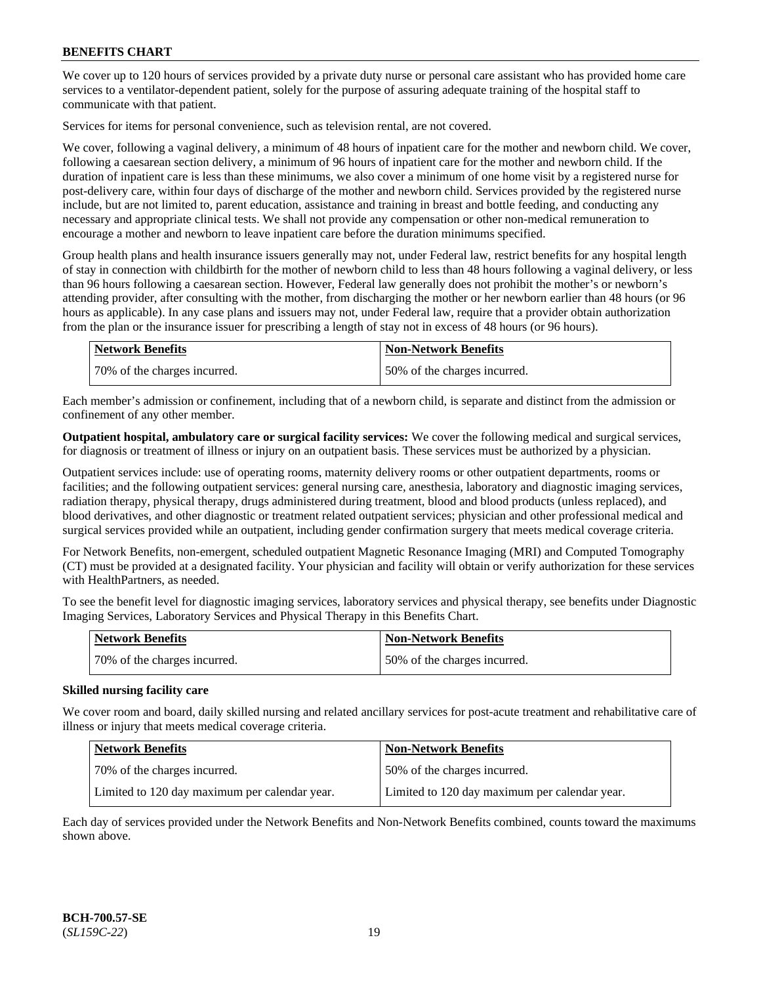We cover up to 120 hours of services provided by a private duty nurse or personal care assistant who has provided home care services to a ventilator-dependent patient, solely for the purpose of assuring adequate training of the hospital staff to communicate with that patient.

Services for items for personal convenience, such as television rental, are not covered.

We cover, following a vaginal delivery, a minimum of 48 hours of inpatient care for the mother and newborn child. We cover, following a caesarean section delivery, a minimum of 96 hours of inpatient care for the mother and newborn child. If the duration of inpatient care is less than these minimums, we also cover a minimum of one home visit by a registered nurse for post-delivery care, within four days of discharge of the mother and newborn child. Services provided by the registered nurse include, but are not limited to, parent education, assistance and training in breast and bottle feeding, and conducting any necessary and appropriate clinical tests. We shall not provide any compensation or other non-medical remuneration to encourage a mother and newborn to leave inpatient care before the duration minimums specified.

Group health plans and health insurance issuers generally may not, under Federal law, restrict benefits for any hospital length of stay in connection with childbirth for the mother of newborn child to less than 48 hours following a vaginal delivery, or less than 96 hours following a caesarean section. However, Federal law generally does not prohibit the mother's or newborn's attending provider, after consulting with the mother, from discharging the mother or her newborn earlier than 48 hours (or 96 hours as applicable). In any case plans and issuers may not, under Federal law, require that a provider obtain authorization from the plan or the insurance issuer for prescribing a length of stay not in excess of 48 hours (or 96 hours).

| Network Benefits             | <b>Non-Network Benefits</b>  |
|------------------------------|------------------------------|
| 70% of the charges incurred. | 50% of the charges incurred. |

Each member's admission or confinement, including that of a newborn child, is separate and distinct from the admission or confinement of any other member.

**Outpatient hospital, ambulatory care or surgical facility services:** We cover the following medical and surgical services, for diagnosis or treatment of illness or injury on an outpatient basis. These services must be authorized by a physician.

Outpatient services include: use of operating rooms, maternity delivery rooms or other outpatient departments, rooms or facilities; and the following outpatient services: general nursing care, anesthesia, laboratory and diagnostic imaging services, radiation therapy, physical therapy, drugs administered during treatment, blood and blood products (unless replaced), and blood derivatives, and other diagnostic or treatment related outpatient services; physician and other professional medical and surgical services provided while an outpatient, including gender confirmation surgery that meets medical coverage criteria.

For Network Benefits, non-emergent, scheduled outpatient Magnetic Resonance Imaging (MRI) and Computed Tomography (CT) must be provided at a designated facility. Your physician and facility will obtain or verify authorization for these services with HealthPartners, as needed.

To see the benefit level for diagnostic imaging services, laboratory services and physical therapy, see benefits under Diagnostic Imaging Services, Laboratory Services and Physical Therapy in this Benefits Chart.

| <b>Network Benefits</b>      | <b>Non-Network Benefits</b>  |
|------------------------------|------------------------------|
| 70% of the charges incurred. | 50% of the charges incurred. |

### **Skilled nursing facility care**

We cover room and board, daily skilled nursing and related ancillary services for post-acute treatment and rehabilitative care of illness or injury that meets medical coverage criteria.

| <b>Network Benefits</b>                       | <b>Non-Network Benefits</b>                   |
|-----------------------------------------------|-----------------------------------------------|
| 170% of the charges incurred.                 | 150% of the charges incurred.                 |
| Limited to 120 day maximum per calendar year. | Limited to 120 day maximum per calendar year. |

Each day of services provided under the Network Benefits and Non-Network Benefits combined, counts toward the maximums shown above.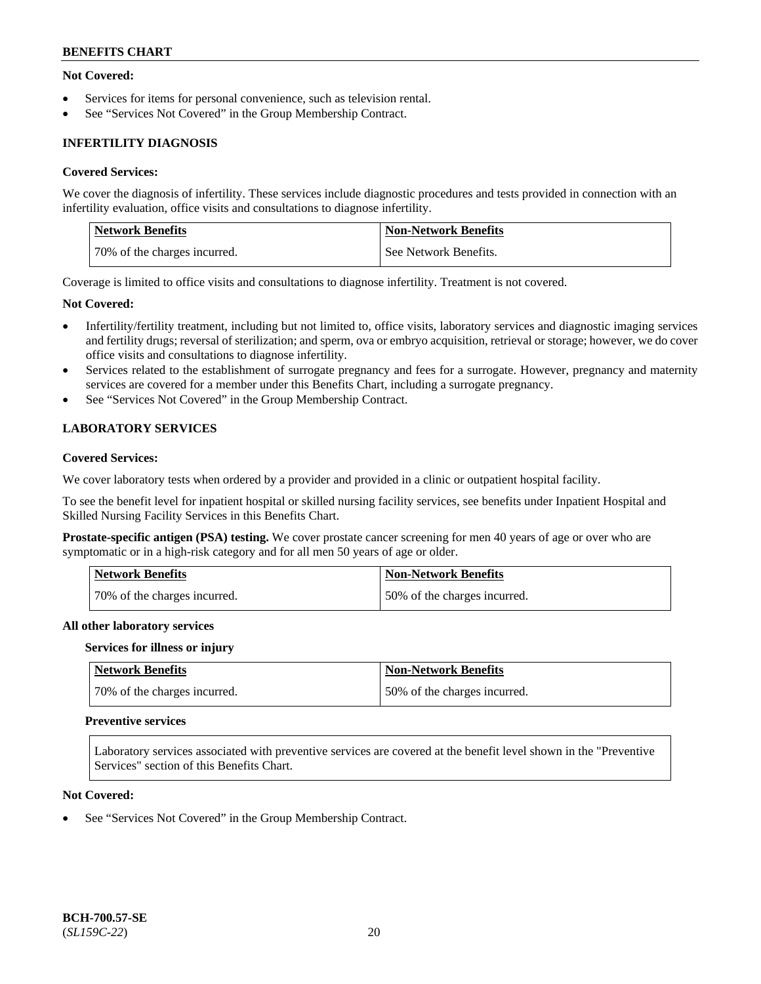### **Not Covered:**

- Services for items for personal convenience, such as television rental.
- See "Services Not Covered" in the Group Membership Contract.

# **INFERTILITY DIAGNOSIS**

### **Covered Services:**

We cover the diagnosis of infertility. These services include diagnostic procedures and tests provided in connection with an infertility evaluation, office visits and consultations to diagnose infertility.

| <b>Network Benefits</b>      | <b>Non-Network Benefits</b> |
|------------------------------|-----------------------------|
| 70% of the charges incurred. | See Network Benefits.       |

Coverage is limited to office visits and consultations to diagnose infertility. Treatment is not covered.

#### **Not Covered:**

- Infertility/fertility treatment, including but not limited to, office visits, laboratory services and diagnostic imaging services and fertility drugs; reversal of sterilization; and sperm, ova or embryo acquisition, retrieval or storage; however, we do cover office visits and consultations to diagnose infertility.
- Services related to the establishment of surrogate pregnancy and fees for a surrogate. However, pregnancy and maternity services are covered for a member under this Benefits Chart, including a surrogate pregnancy.
- See "Services Not Covered" in the Group Membership Contract.

# **LABORATORY SERVICES**

### **Covered Services:**

We cover laboratory tests when ordered by a provider and provided in a clinic or outpatient hospital facility.

To see the benefit level for inpatient hospital or skilled nursing facility services, see benefits under Inpatient Hospital and Skilled Nursing Facility Services in this Benefits Chart.

**Prostate-specific antigen (PSA) testing.** We cover prostate cancer screening for men 40 years of age or over who are symptomatic or in a high-risk category and for all men 50 years of age or older.

| <b>Network Benefits</b>      | Non-Network Benefits         |
|------------------------------|------------------------------|
| 70% of the charges incurred. | 50% of the charges incurred. |

#### **All other laboratory services**

#### **Services for illness or injury**

| Network Benefits             | Non-Network Benefits         |
|------------------------------|------------------------------|
| 70% of the charges incurred. | 50% of the charges incurred. |

#### **Preventive services**

Laboratory services associated with preventive services are covered at the benefit level shown in the "Preventive Services" section of this Benefits Chart.

### **Not Covered:**

See "Services Not Covered" in the Group Membership Contract.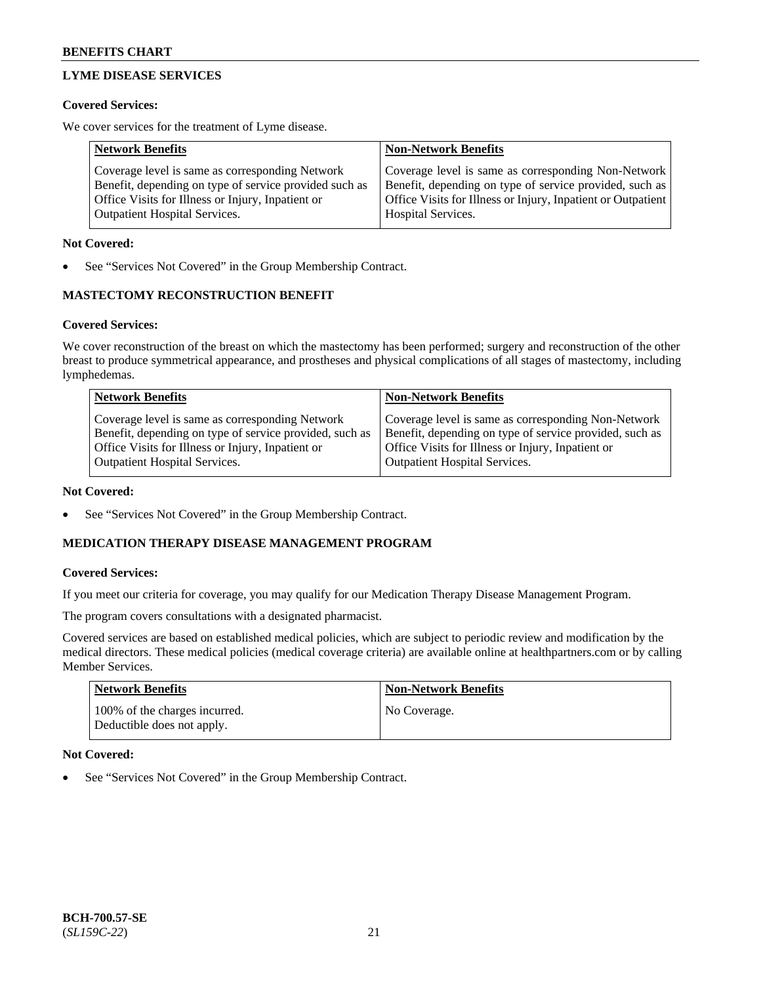# **LYME DISEASE SERVICES**

#### **Covered Services:**

We cover services for the treatment of Lyme disease.

| <b>Network Benefits</b>                                | <b>Non-Network Benefits</b>                                  |
|--------------------------------------------------------|--------------------------------------------------------------|
| Coverage level is same as corresponding Network        | Coverage level is same as corresponding Non-Network          |
| Benefit, depending on type of service provided such as | Benefit, depending on type of service provided, such as      |
| Office Visits for Illness or Injury, Inpatient or      | Office Visits for Illness or Injury, Inpatient or Outpatient |
| <b>Outpatient Hospital Services.</b>                   | Hospital Services.                                           |

### **Not Covered:**

See "Services Not Covered" in the Group Membership Contract.

### **MASTECTOMY RECONSTRUCTION BENEFIT**

#### **Covered Services:**

We cover reconstruction of the breast on which the mastectomy has been performed; surgery and reconstruction of the other breast to produce symmetrical appearance, and prostheses and physical complications of all stages of mastectomy, including lymphedemas.

| <b>Network Benefits</b>                                 | <b>Non-Network Benefits</b>                             |
|---------------------------------------------------------|---------------------------------------------------------|
| Coverage level is same as corresponding Network         | Coverage level is same as corresponding Non-Network     |
| Benefit, depending on type of service provided, such as | Benefit, depending on type of service provided, such as |
| Office Visits for Illness or Injury, Inpatient or       | Office Visits for Illness or Injury, Inpatient or       |
| <b>Outpatient Hospital Services.</b>                    | <b>Outpatient Hospital Services.</b>                    |

#### **Not Covered:**

See "Services Not Covered" in the Group Membership Contract.

### **MEDICATION THERAPY DISEASE MANAGEMENT PROGRAM**

#### **Covered Services:**

If you meet our criteria for coverage, you may qualify for our Medication Therapy Disease Management Program.

The program covers consultations with a designated pharmacist.

Covered services are based on established medical policies, which are subject to periodic review and modification by the medical directors. These medical policies (medical coverage criteria) are available online at [healthpartners.com](https://www.healthpartners.com/hp/index.html) or by calling Member Services.

| <b>Network Benefits</b>                                     | Non-Network Benefits |
|-------------------------------------------------------------|----------------------|
| 100% of the charges incurred.<br>Deductible does not apply. | No Coverage.         |

### **Not Covered:**

See "Services Not Covered" in the Group Membership Contract.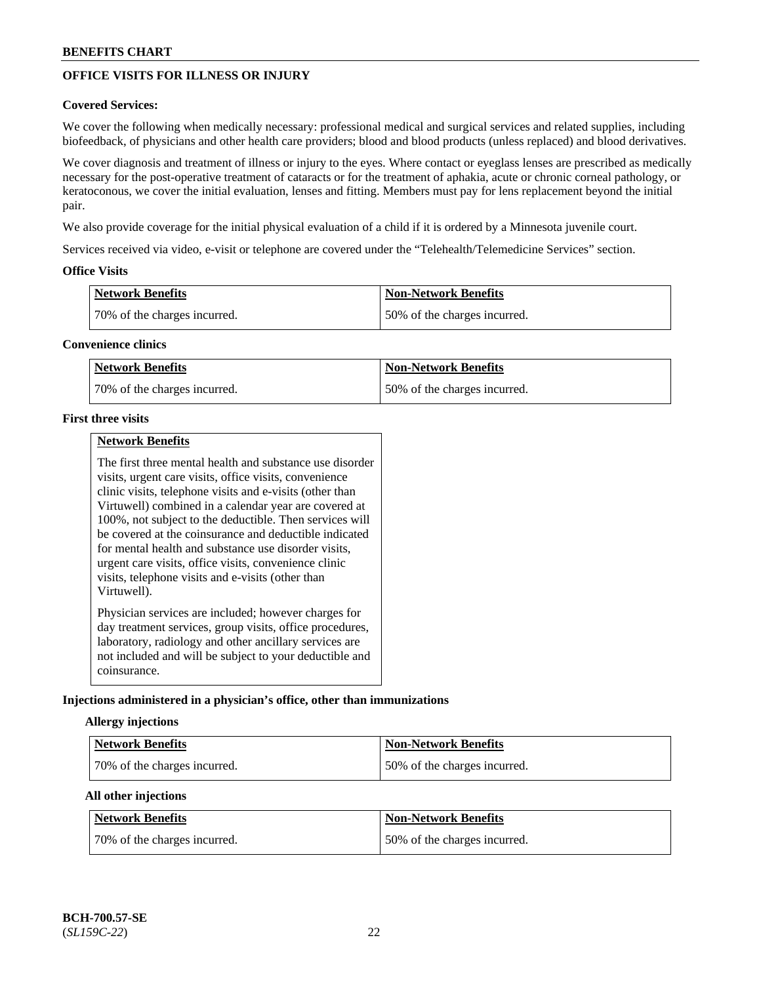# **OFFICE VISITS FOR ILLNESS OR INJURY**

### **Covered Services:**

We cover the following when medically necessary: professional medical and surgical services and related supplies, including biofeedback, of physicians and other health care providers; blood and blood products (unless replaced) and blood derivatives.

We cover diagnosis and treatment of illness or injury to the eyes. Where contact or eyeglass lenses are prescribed as medically necessary for the post-operative treatment of cataracts or for the treatment of aphakia, acute or chronic corneal pathology, or keratoconous, we cover the initial evaluation, lenses and fitting. Members must pay for lens replacement beyond the initial pair.

We also provide coverage for the initial physical evaluation of a child if it is ordered by a Minnesota juvenile court.

Services received via video, e-visit or telephone are covered under the "Telehealth/Telemedicine Services" section.

### **Office Visits**

| Network Benefits             | <b>Non-Network Benefits</b>  |
|------------------------------|------------------------------|
| 70% of the charges incurred. | 50% of the charges incurred. |

#### **Convenience clinics**

| <b>Network Benefits</b>      | <b>Non-Network Benefits</b>   |
|------------------------------|-------------------------------|
| 70% of the charges incurred. | 150% of the charges incurred. |

#### **First three visits**

|--|

The first three mental health and substance use disorder visits, urgent care visits, office visits, convenience clinic visits, telephone visits and e-visits (other than Virtuwell) combined in a calendar year are covered at 100%, not subject to the deductible. Then services will be covered at the coinsurance and deductible indicated for mental health and substance use disorder visits, urgent care visits, office visits, convenience clinic visits, telephone visits and e-visits (other than Virtuwell). Physician services are included; however charges for day treatment services, group visits, office procedures,

laboratory, radiology and other ancillary services are not included and will be subject to your deductible and coinsurance.

### **Injections administered in a physician's office, other than immunizations**

#### **Allergy injections**

| <b>Network Benefits</b>      | <b>Non-Network Benefits</b>  |
|------------------------------|------------------------------|
| 70% of the charges incurred. | 50% of the charges incurred. |

### **All other injections**

| <b>Network Benefits</b>      | Non-Network Benefits         |
|------------------------------|------------------------------|
| 70% of the charges incurred. | 50% of the charges incurred. |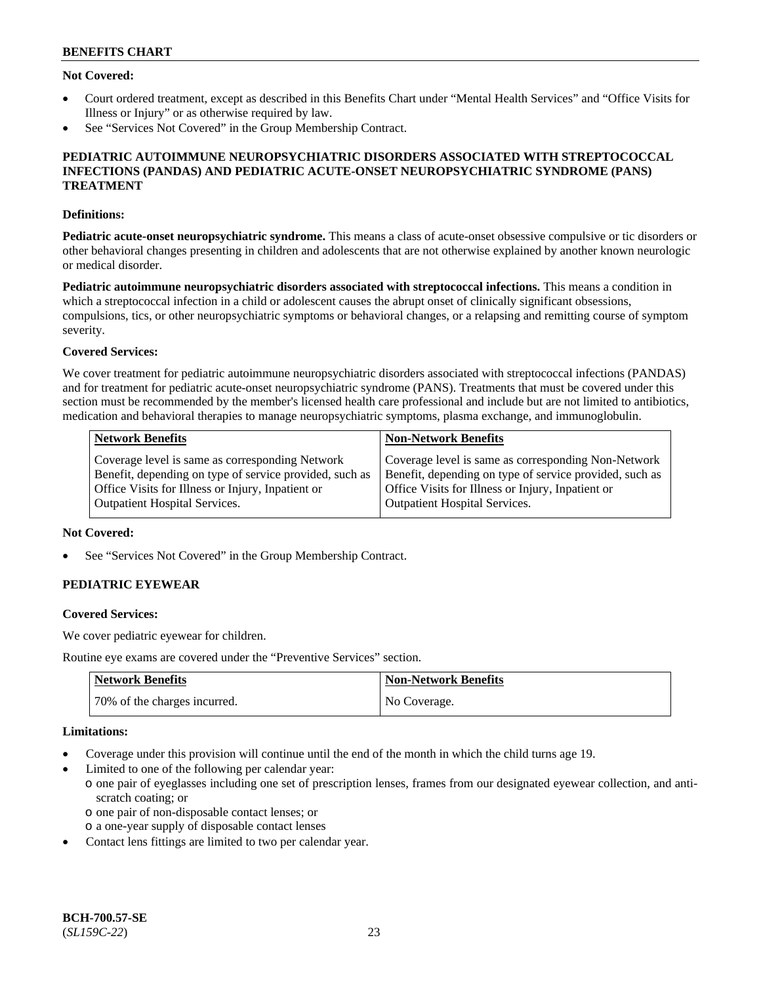### **Not Covered:**

- Court ordered treatment, except as described in this Benefits Chart under "Mental Health Services" and "Office Visits for Illness or Injury" or as otherwise required by law.
- See "Services Not Covered" in the Group Membership Contract.

### **PEDIATRIC AUTOIMMUNE NEUROPSYCHIATRIC DISORDERS ASSOCIATED WITH STREPTOCOCCAL INFECTIONS (PANDAS) AND PEDIATRIC ACUTE-ONSET NEUROPSYCHIATRIC SYNDROME (PANS) TREATMENT**

### **Definitions:**

**Pediatric acute-onset neuropsychiatric syndrome.** This means a class of acute-onset obsessive compulsive or tic disorders or other behavioral changes presenting in children and adolescents that are not otherwise explained by another known neurologic or medical disorder.

**Pediatric autoimmune neuropsychiatric disorders associated with streptococcal infections.** This means a condition in which a streptococcal infection in a child or adolescent causes the abrupt onset of clinically significant obsessions, compulsions, tics, or other neuropsychiatric symptoms or behavioral changes, or a relapsing and remitting course of symptom severity.

### **Covered Services:**

We cover treatment for pediatric autoimmune neuropsychiatric disorders associated with streptococcal infections (PANDAS) and for treatment for pediatric acute-onset neuropsychiatric syndrome (PANS). Treatments that must be covered under this section must be recommended by the member's licensed health care professional and include but are not limited to antibiotics, medication and behavioral therapies to manage neuropsychiatric symptoms, plasma exchange, and immunoglobulin.

| <b>Network Benefits</b>                                 | <b>Non-Network Benefits</b>                             |
|---------------------------------------------------------|---------------------------------------------------------|
| Coverage level is same as corresponding Network         | Coverage level is same as corresponding Non-Network     |
| Benefit, depending on type of service provided, such as | Benefit, depending on type of service provided, such as |
| Office Visits for Illness or Injury, Inpatient or       | Office Visits for Illness or Injury, Inpatient or       |
| <b>Outpatient Hospital Services.</b>                    | <b>Outpatient Hospital Services.</b>                    |

### **Not Covered:**

See "Services Not Covered" in the Group Membership Contract.

# **PEDIATRIC EYEWEAR**

#### **Covered Services:**

We cover pediatric eyewear for children.

Routine eye exams are covered under the "Preventive Services" section.

| <b>Network Benefits</b>      | <b>Non-Network Benefits</b> |
|------------------------------|-----------------------------|
| 70% of the charges incurred. | No Coverage.                |

#### **Limitations:**

- Coverage under this provision will continue until the end of the month in which the child turns age 19.
- Limited to one of the following per calendar year:
	- o one pair of eyeglasses including one set of prescription lenses, frames from our designated eyewear collection, and antiscratch coating; or
		- o one pair of non-disposable contact lenses; or
	- o a one-year supply of disposable contact lenses
- Contact lens fittings are limited to two per calendar year.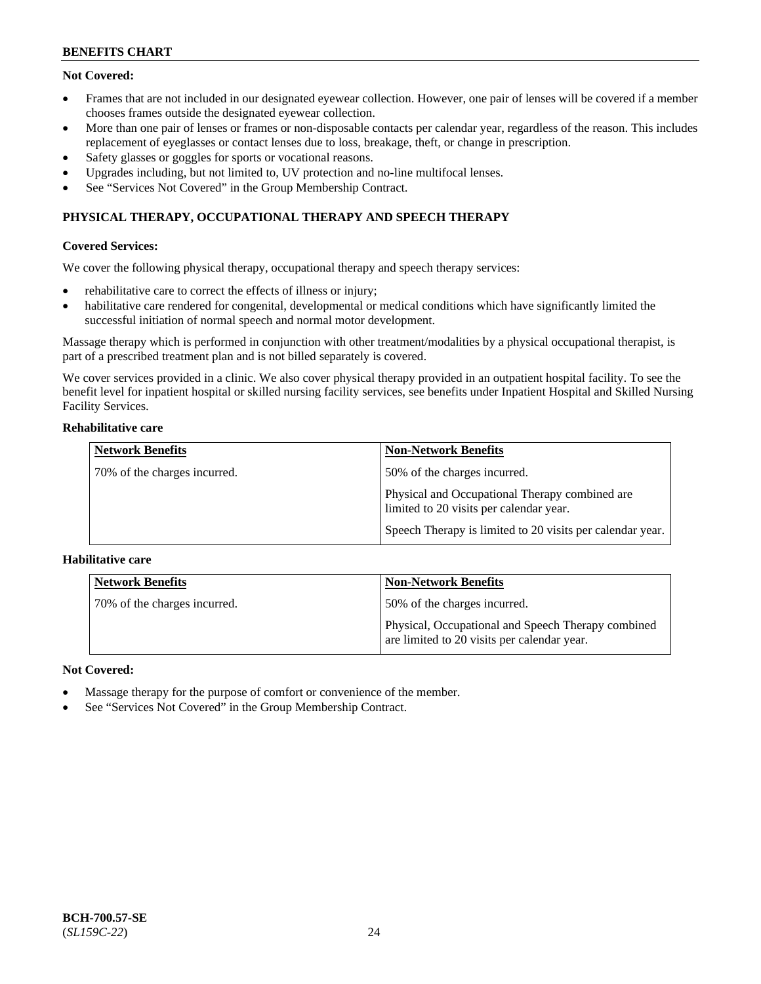### **Not Covered:**

- Frames that are not included in our designated eyewear collection. However, one pair of lenses will be covered if a member chooses frames outside the designated eyewear collection.
- More than one pair of lenses or frames or non-disposable contacts per calendar year, regardless of the reason. This includes replacement of eyeglasses or contact lenses due to loss, breakage, theft, or change in prescription.
- Safety glasses or goggles for sports or vocational reasons.
- Upgrades including, but not limited to, UV protection and no-line multifocal lenses.
- See "Services Not Covered" in the Group Membership Contract.

# **PHYSICAL THERAPY, OCCUPATIONAL THERAPY AND SPEECH THERAPY**

### **Covered Services:**

We cover the following physical therapy, occupational therapy and speech therapy services:

- rehabilitative care to correct the effects of illness or injury;
- habilitative care rendered for congenital, developmental or medical conditions which have significantly limited the successful initiation of normal speech and normal motor development.

Massage therapy which is performed in conjunction with other treatment/modalities by a physical occupational therapist, is part of a prescribed treatment plan and is not billed separately is covered.

We cover services provided in a clinic. We also cover physical therapy provided in an outpatient hospital facility. To see the benefit level for inpatient hospital or skilled nursing facility services, see benefits under Inpatient Hospital and Skilled Nursing Facility Services.

### **Rehabilitative care**

| <b>Network Benefits</b>      | <b>Non-Network Benefits</b>                                                               |
|------------------------------|-------------------------------------------------------------------------------------------|
| 70% of the charges incurred. | 50% of the charges incurred.                                                              |
|                              | Physical and Occupational Therapy combined are<br>limited to 20 visits per calendar year. |
|                              | Speech Therapy is limited to 20 visits per calendar year.                                 |

### **Habilitative care**

| <b>Network Benefits</b>      | <b>Non-Network Benefits</b>                                                                       |
|------------------------------|---------------------------------------------------------------------------------------------------|
| 70% of the charges incurred. | 50% of the charges incurred.                                                                      |
|                              | Physical, Occupational and Speech Therapy combined<br>are limited to 20 visits per calendar year. |

### **Not Covered:**

- Massage therapy for the purpose of comfort or convenience of the member.
- See "Services Not Covered" in the Group Membership Contract.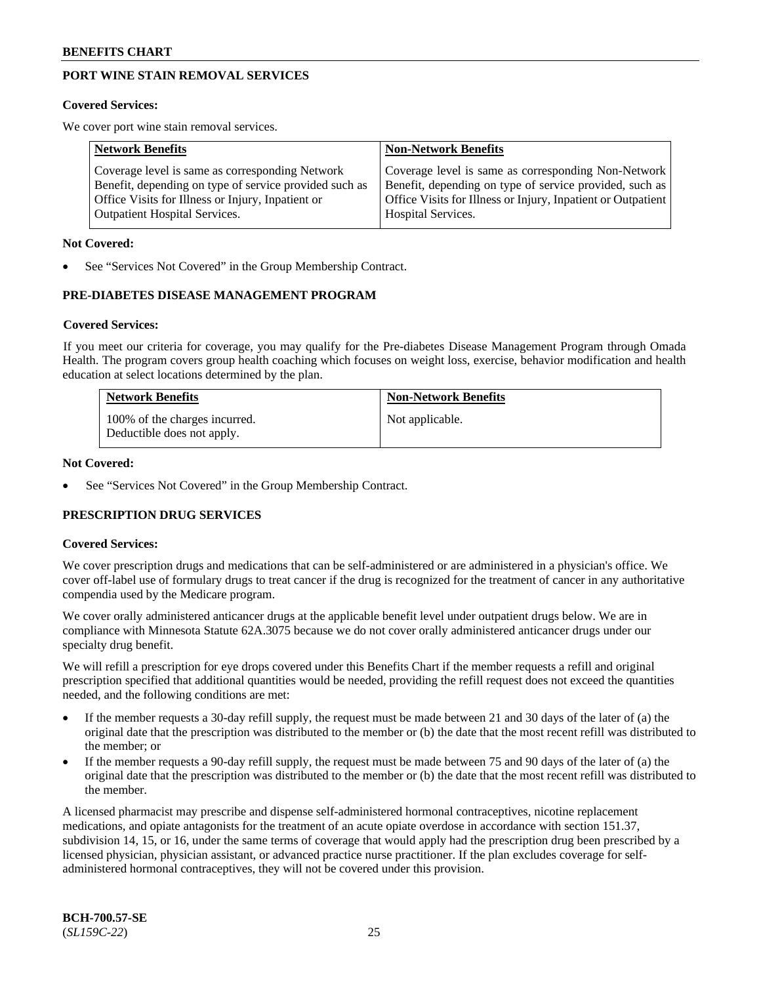# **PORT WINE STAIN REMOVAL SERVICES**

#### **Covered Services:**

We cover port wine stain removal services.

| <b>Network Benefits</b>                                | <b>Non-Network Benefits</b>                                  |
|--------------------------------------------------------|--------------------------------------------------------------|
| Coverage level is same as corresponding Network        | Coverage level is same as corresponding Non-Network          |
| Benefit, depending on type of service provided such as | Benefit, depending on type of service provided, such as      |
| Office Visits for Illness or Injury, Inpatient or      | Office Visits for Illness or Injury, Inpatient or Outpatient |
| <b>Outpatient Hospital Services.</b>                   | Hospital Services.                                           |

### **Not Covered:**

See "Services Not Covered" in the Group Membership Contract.

### **PRE-DIABETES DISEASE MANAGEMENT PROGRAM**

#### **Covered Services:**

If you meet our criteria for coverage, you may qualify for the Pre-diabetes Disease Management Program through Omada Health. The program covers group health coaching which focuses on weight loss, exercise, behavior modification and health education at select locations determined by the plan.

| <b>Network Benefits</b>                                     | <b>Non-Network Benefits</b> |
|-------------------------------------------------------------|-----------------------------|
| 100% of the charges incurred.<br>Deductible does not apply. | Not applicable.             |

#### **Not Covered:**

See "Services Not Covered" in the Group Membership Contract.

### **PRESCRIPTION DRUG SERVICES**

### **Covered Services:**

We cover prescription drugs and medications that can be self-administered or are administered in a physician's office. We cover off-label use of formulary drugs to treat cancer if the drug is recognized for the treatment of cancer in any authoritative compendia used by the Medicare program.

We cover orally administered anticancer drugs at the applicable benefit level under outpatient drugs below. We are in compliance with Minnesota Statute 62A.3075 because we do not cover orally administered anticancer drugs under our specialty drug benefit.

We will refill a prescription for eye drops covered under this Benefits Chart if the member requests a refill and original prescription specified that additional quantities would be needed, providing the refill request does not exceed the quantities needed, and the following conditions are met:

- If the member requests a 30-day refill supply, the request must be made between 21 and 30 days of the later of (a) the original date that the prescription was distributed to the member or (b) the date that the most recent refill was distributed to the member; or
- If the member requests a 90-day refill supply, the request must be made between 75 and 90 days of the later of (a) the original date that the prescription was distributed to the member or (b) the date that the most recent refill was distributed to the member.

A licensed pharmacist may prescribe and dispense self-administered hormonal contraceptives, nicotine replacement medications, and opiate antagonists for the treatment of an acute opiate overdose in accordance with section 151.37, subdivision 14, 15, or 16, under the same terms of coverage that would apply had the prescription drug been prescribed by a licensed physician, physician assistant, or advanced practice nurse practitioner. If the plan excludes coverage for selfadministered hormonal contraceptives, they will not be covered under this provision.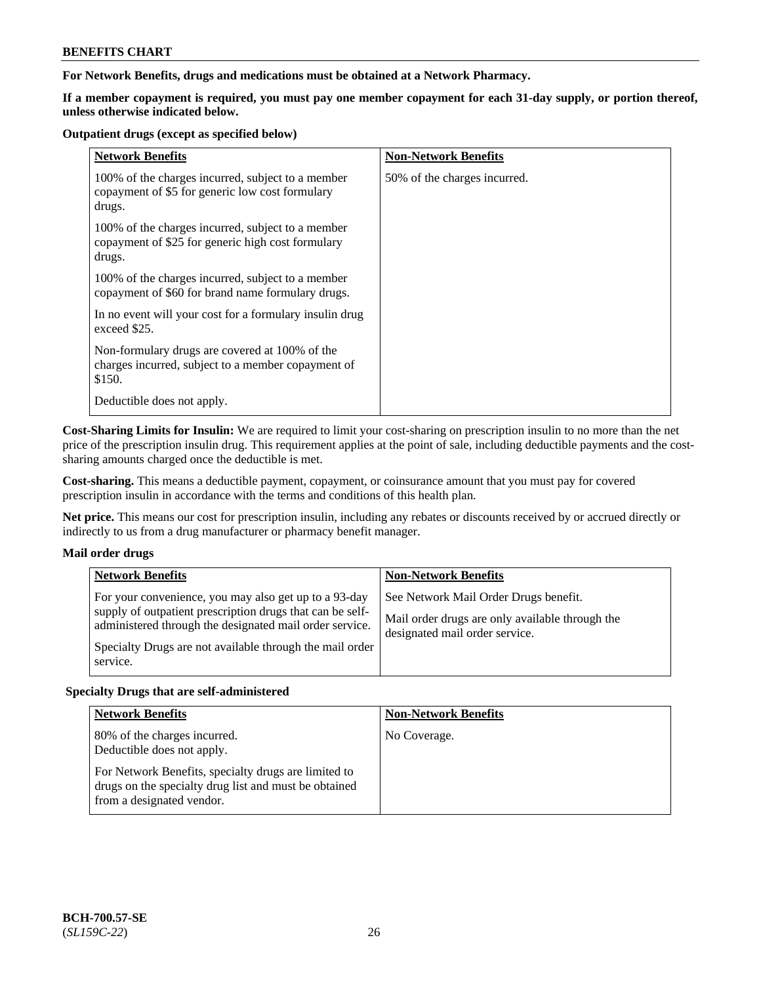**For Network Benefits, drugs and medications must be obtained at a Network Pharmacy.**

**If a member copayment is required, you must pay one member copayment for each 31-day supply, or portion thereof, unless otherwise indicated below.**

#### **Outpatient drugs (except as specified below)**

| <b>Network Benefits</b>                                                                                          | <b>Non-Network Benefits</b>  |
|------------------------------------------------------------------------------------------------------------------|------------------------------|
| 100% of the charges incurred, subject to a member<br>copayment of \$5 for generic low cost formulary<br>drugs.   | 50% of the charges incurred. |
| 100% of the charges incurred, subject to a member<br>copayment of \$25 for generic high cost formulary<br>drugs. |                              |
| 100% of the charges incurred, subject to a member<br>copayment of \$60 for brand name formulary drugs.           |                              |
| In no event will your cost for a formulary insulin drug<br>exceed \$25.                                          |                              |
| Non-formulary drugs are covered at 100% of the<br>charges incurred, subject to a member copayment of<br>\$150.   |                              |
| Deductible does not apply.                                                                                       |                              |

**Cost-Sharing Limits for Insulin:** We are required to limit your cost-sharing on prescription insulin to no more than the net price of the prescription insulin drug. This requirement applies at the point of sale, including deductible payments and the costsharing amounts charged once the deductible is met.

**Cost-sharing.** This means a deductible payment, copayment, or coinsurance amount that you must pay for covered prescription insulin in accordance with the terms and conditions of this health plan.

**Net price.** This means our cost for prescription insulin, including any rebates or discounts received by or accrued directly or indirectly to us from a drug manufacturer or pharmacy benefit manager.

### **Mail order drugs**

| <b>Network Benefits</b>                                                                                                                                                                                                                               | <b>Non-Network Benefits</b>                                                                                                |
|-------------------------------------------------------------------------------------------------------------------------------------------------------------------------------------------------------------------------------------------------------|----------------------------------------------------------------------------------------------------------------------------|
| For your convenience, you may also get up to a 93-day<br>supply of outpatient prescription drugs that can be self-<br>administered through the designated mail order service.<br>Specialty Drugs are not available through the mail order<br>service. | See Network Mail Order Drugs benefit.<br>Mail order drugs are only available through the<br>designated mail order service. |

### **Specialty Drugs that are self-administered**

| <b>Network Benefits</b>                                                                                                                    | <b>Non-Network Benefits</b> |
|--------------------------------------------------------------------------------------------------------------------------------------------|-----------------------------|
| 80% of the charges incurred.<br>Deductible does not apply.                                                                                 | No Coverage.                |
| For Network Benefits, specialty drugs are limited to<br>drugs on the specialty drug list and must be obtained<br>from a designated vendor. |                             |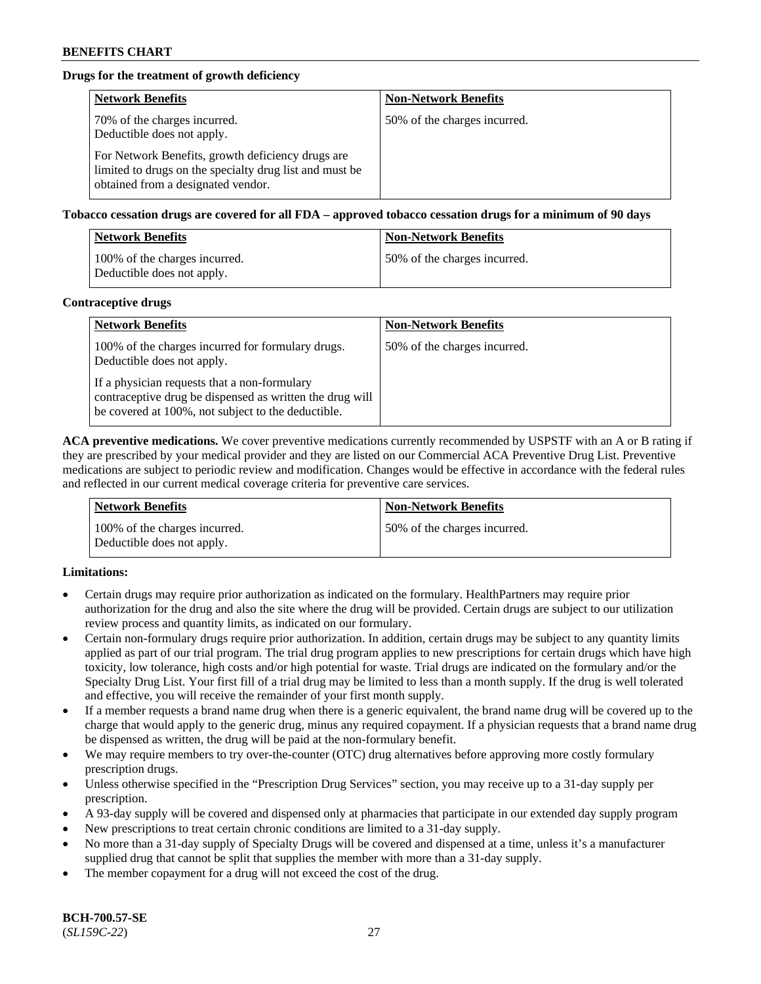# **Drugs for the treatment of growth deficiency**

| <b>Network Benefits</b>                                                                                                                            | <b>Non-Network Benefits</b>  |
|----------------------------------------------------------------------------------------------------------------------------------------------------|------------------------------|
| 70% of the charges incurred.<br>Deductible does not apply.                                                                                         | 50% of the charges incurred. |
| For Network Benefits, growth deficiency drugs are<br>limited to drugs on the specialty drug list and must be<br>obtained from a designated vendor. |                              |

#### **Tobacco cessation drugs are covered for all FDA – approved tobacco cessation drugs for a minimum of 90 days**

| <b>Network Benefits</b>                                     | <b>Non-Network Benefits</b>  |
|-------------------------------------------------------------|------------------------------|
| 100% of the charges incurred.<br>Deductible does not apply. | 50% of the charges incurred. |

#### **Contraceptive drugs**

| <b>Network Benefits</b>                                                                                                                                        | <b>Non-Network Benefits</b>  |
|----------------------------------------------------------------------------------------------------------------------------------------------------------------|------------------------------|
| 100% of the charges incurred for formulary drugs.<br>Deductible does not apply.                                                                                | 50% of the charges incurred. |
| If a physician requests that a non-formulary<br>contraceptive drug be dispensed as written the drug will<br>be covered at 100%, not subject to the deductible. |                              |

**ACA preventive medications.** We cover preventive medications currently recommended by USPSTF with an A or B rating if they are prescribed by your medical provider and they are listed on our Commercial ACA Preventive Drug List. Preventive medications are subject to periodic review and modification. Changes would be effective in accordance with the federal rules and reflected in our current medical coverage criteria for preventive care services.

| Network Benefits                                            | <b>Non-Network Benefits</b>  |
|-------------------------------------------------------------|------------------------------|
| 100% of the charges incurred.<br>Deductible does not apply. | 50% of the charges incurred. |

### **Limitations:**

- Certain drugs may require prior authorization as indicated on the formulary. HealthPartners may require prior authorization for the drug and also the site where the drug will be provided. Certain drugs are subject to our utilization review process and quantity limits, as indicated on our formulary.
- Certain non-formulary drugs require prior authorization. In addition, certain drugs may be subject to any quantity limits applied as part of our trial program. The trial drug program applies to new prescriptions for certain drugs which have high toxicity, low tolerance, high costs and/or high potential for waste. Trial drugs are indicated on the formulary and/or the Specialty Drug List. Your first fill of a trial drug may be limited to less than a month supply. If the drug is well tolerated and effective, you will receive the remainder of your first month supply.
- If a member requests a brand name drug when there is a generic equivalent, the brand name drug will be covered up to the charge that would apply to the generic drug, minus any required copayment. If a physician requests that a brand name drug be dispensed as written, the drug will be paid at the non-formulary benefit.
- We may require members to try over-the-counter (OTC) drug alternatives before approving more costly formulary prescription drugs.
- Unless otherwise specified in the "Prescription Drug Services" section, you may receive up to a 31-day supply per prescription.
- A 93-day supply will be covered and dispensed only at pharmacies that participate in our extended day supply program
- New prescriptions to treat certain chronic conditions are limited to a 31-day supply.
- No more than a 31-day supply of Specialty Drugs will be covered and dispensed at a time, unless it's a manufacturer supplied drug that cannot be split that supplies the member with more than a 31-day supply.
- The member copayment for a drug will not exceed the cost of the drug.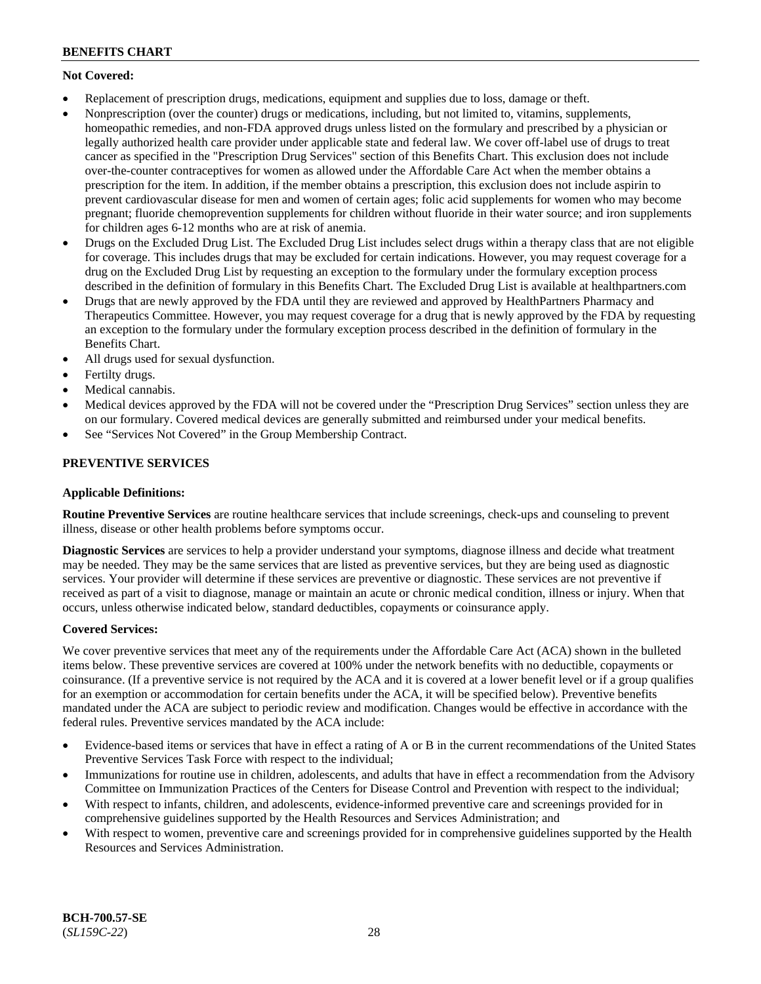# **Not Covered:**

- Replacement of prescription drugs, medications, equipment and supplies due to loss, damage or theft.
- Nonprescription (over the counter) drugs or medications, including, but not limited to, vitamins, supplements, homeopathic remedies, and non-FDA approved drugs unless listed on the formulary and prescribed by a physician or legally authorized health care provider under applicable state and federal law. We cover off-label use of drugs to treat cancer as specified in the "Prescription Drug Services" section of this Benefits Chart. This exclusion does not include over-the-counter contraceptives for women as allowed under the Affordable Care Act when the member obtains a prescription for the item. In addition, if the member obtains a prescription, this exclusion does not include aspirin to prevent cardiovascular disease for men and women of certain ages; folic acid supplements for women who may become pregnant; fluoride chemoprevention supplements for children without fluoride in their water source; and iron supplements for children ages 6-12 months who are at risk of anemia.
- Drugs on the Excluded Drug List. The Excluded Drug List includes select drugs within a therapy class that are not eligible for coverage. This includes drugs that may be excluded for certain indications. However, you may request coverage for a drug on the Excluded Drug List by requesting an exception to the formulary under the formulary exception process described in the definition of formulary in this Benefits Chart. The Excluded Drug List is available at [healthpartners.com](http://www.healthpartners.com/)
- Drugs that are newly approved by the FDA until they are reviewed and approved by HealthPartners Pharmacy and Therapeutics Committee. However, you may request coverage for a drug that is newly approved by the FDA by requesting an exception to the formulary under the formulary exception process described in the definition of formulary in the Benefits Chart.
- All drugs used for sexual dysfunction.
- Fertilty drugs.
- Medical cannabis.
- Medical devices approved by the FDA will not be covered under the "Prescription Drug Services" section unless they are on our formulary. Covered medical devices are generally submitted and reimbursed under your medical benefits.
- See "Services Not Covered" in the Group Membership Contract.

# **PREVENTIVE SERVICES**

### **Applicable Definitions:**

**Routine Preventive Services** are routine healthcare services that include screenings, check-ups and counseling to prevent illness, disease or other health problems before symptoms occur.

**Diagnostic Services** are services to help a provider understand your symptoms, diagnose illness and decide what treatment may be needed. They may be the same services that are listed as preventive services, but they are being used as diagnostic services. Your provider will determine if these services are preventive or diagnostic. These services are not preventive if received as part of a visit to diagnose, manage or maintain an acute or chronic medical condition, illness or injury. When that occurs, unless otherwise indicated below, standard deductibles, copayments or coinsurance apply.

### **Covered Services:**

We cover preventive services that meet any of the requirements under the Affordable Care Act (ACA) shown in the bulleted items below. These preventive services are covered at 100% under the network benefits with no deductible, copayments or coinsurance. (If a preventive service is not required by the ACA and it is covered at a lower benefit level or if a group qualifies for an exemption or accommodation for certain benefits under the ACA, it will be specified below). Preventive benefits mandated under the ACA are subject to periodic review and modification. Changes would be effective in accordance with the federal rules. Preventive services mandated by the ACA include:

- Evidence-based items or services that have in effect a rating of A or B in the current recommendations of the United States Preventive Services Task Force with respect to the individual;
- Immunizations for routine use in children, adolescents, and adults that have in effect a recommendation from the Advisory Committee on Immunization Practices of the Centers for Disease Control and Prevention with respect to the individual;
- With respect to infants, children, and adolescents, evidence-informed preventive care and screenings provided for in comprehensive guidelines supported by the Health Resources and Services Administration; and
- With respect to women, preventive care and screenings provided for in comprehensive guidelines supported by the Health Resources and Services Administration.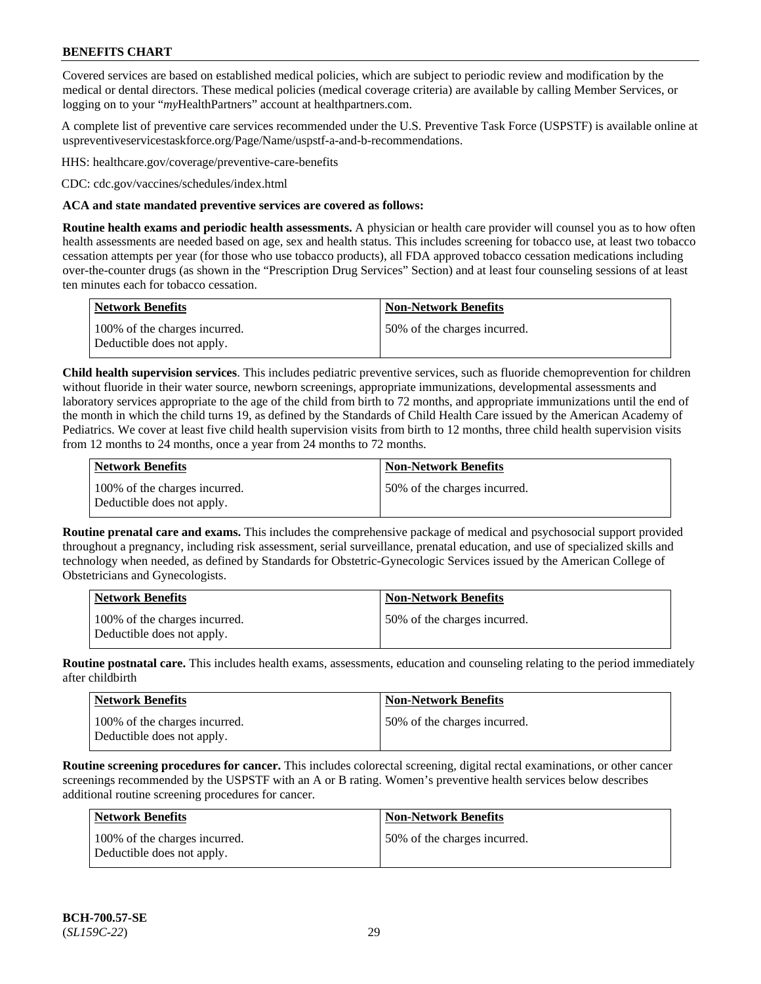Covered services are based on established medical policies, which are subject to periodic review and modification by the medical or dental directors. These medical policies (medical coverage criteria) are available by calling Member Services, or logging on to your "*my*HealthPartners" account at [healthpartners.com.](http://www.healthpartners.com/)

A complete list of preventive care services recommended under the U.S. Preventive Task Force (USPSTF) is available online at [uspreventiveservicestaskforce.org/Page/Name/uspstf-a-and-b-recommendations.](https://www.uspreventiveservicestaskforce.org/Page/Name/uspstf-a-and-b-recommendations-by-date/)

HHS: [healthcare.gov/coverage/preventive-care-benefits](https://www.healthcare.gov/coverage/preventive-care-benefits/)

CDC: [cdc.gov/vaccines/schedules/index.html](https://www.cdc.gov/vaccines/schedules/index.html)

### **ACA and state mandated preventive services are covered as follows:**

**Routine health exams and periodic health assessments.** A physician or health care provider will counsel you as to how often health assessments are needed based on age, sex and health status. This includes screening for tobacco use, at least two tobacco cessation attempts per year (for those who use tobacco products), all FDA approved tobacco cessation medications including over-the-counter drugs (as shown in the "Prescription Drug Services" Section) and at least four counseling sessions of at least ten minutes each for tobacco cessation.

| Network Benefits                                            | <b>Non-Network Benefits</b>  |
|-------------------------------------------------------------|------------------------------|
| 100% of the charges incurred.<br>Deductible does not apply. | 50% of the charges incurred. |

**Child health supervision services**. This includes pediatric preventive services, such as fluoride chemoprevention for children without fluoride in their water source, newborn screenings, appropriate immunizations, developmental assessments and laboratory services appropriate to the age of the child from birth to 72 months, and appropriate immunizations until the end of the month in which the child turns 19, as defined by the Standards of Child Health Care issued by the American Academy of Pediatrics. We cover at least five child health supervision visits from birth to 12 months, three child health supervision visits from 12 months to 24 months, once a year from 24 months to 72 months.

| Network Benefits                                            | <b>Non-Network Benefits</b>  |
|-------------------------------------------------------------|------------------------------|
| 100% of the charges incurred.<br>Deductible does not apply. | 50% of the charges incurred. |

**Routine prenatal care and exams.** This includes the comprehensive package of medical and psychosocial support provided throughout a pregnancy, including risk assessment, serial surveillance, prenatal education, and use of specialized skills and technology when needed, as defined by Standards for Obstetric-Gynecologic Services issued by the American College of Obstetricians and Gynecologists.

| <b>Network Benefits</b>                                     | Non-Network Benefits         |
|-------------------------------------------------------------|------------------------------|
| 100% of the charges incurred.<br>Deductible does not apply. | 50% of the charges incurred. |

**Routine postnatal care.** This includes health exams, assessments, education and counseling relating to the period immediately after childbirth

| <b>Network Benefits</b>                                     | <b>Non-Network Benefits</b>  |
|-------------------------------------------------------------|------------------------------|
| 100% of the charges incurred.<br>Deductible does not apply. | 50% of the charges incurred. |

**Routine screening procedures for cancer.** This includes colorectal screening, digital rectal examinations, or other cancer screenings recommended by the USPSTF with an A or B rating. Women's preventive health services below describes additional routine screening procedures for cancer.

| <b>Network Benefits</b>                                     | <b>Non-Network Benefits</b>  |
|-------------------------------------------------------------|------------------------------|
| 100% of the charges incurred.<br>Deductible does not apply. | 50% of the charges incurred. |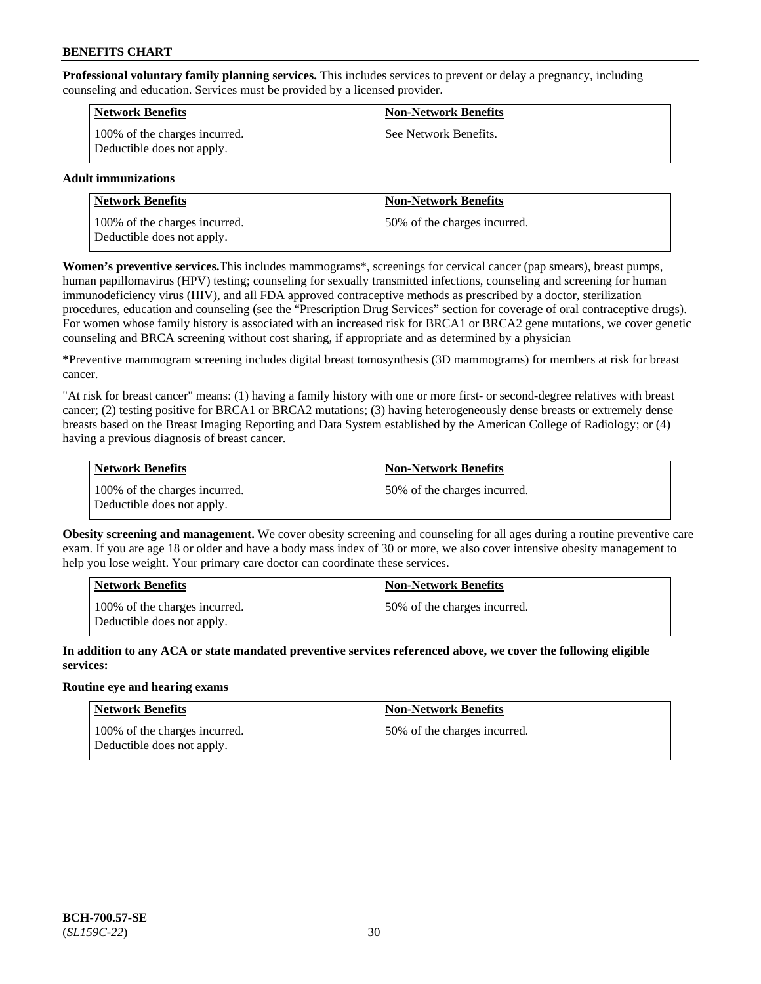**Professional voluntary family planning services.** This includes services to prevent or delay a pregnancy, including counseling and education. Services must be provided by a licensed provider.

| <b>Network Benefits</b>                                     | <b>Non-Network Benefits</b> |
|-------------------------------------------------------------|-----------------------------|
| 100% of the charges incurred.<br>Deductible does not apply. | See Network Benefits.       |

### **Adult immunizations**

| <b>Network Benefits</b>                                     | <b>Non-Network Benefits</b>  |
|-------------------------------------------------------------|------------------------------|
| 100% of the charges incurred.<br>Deductible does not apply. | 50% of the charges incurred. |

**Women's preventive services.**This includes mammograms\*, screenings for cervical cancer (pap smears), breast pumps, human papillomavirus (HPV) testing; counseling for sexually transmitted infections, counseling and screening for human immunodeficiency virus (HIV), and all FDA approved contraceptive methods as prescribed by a doctor, sterilization procedures, education and counseling (see the "Prescription Drug Services" section for coverage of oral contraceptive drugs). For women whose family history is associated with an increased risk for BRCA1 or BRCA2 gene mutations, we cover genetic counseling and BRCA screening without cost sharing, if appropriate and as determined by a physician

**\***Preventive mammogram screening includes digital breast tomosynthesis (3D mammograms) for members at risk for breast cancer.

"At risk for breast cancer" means: (1) having a family history with one or more first- or second-degree relatives with breast cancer; (2) testing positive for BRCA1 or BRCA2 mutations; (3) having heterogeneously dense breasts or extremely dense breasts based on the Breast Imaging Reporting and Data System established by the American College of Radiology; or (4) having a previous diagnosis of breast cancer.

| Network Benefits                                            | <b>Non-Network Benefits</b>  |
|-------------------------------------------------------------|------------------------------|
| 100% of the charges incurred.<br>Deductible does not apply. | 50% of the charges incurred. |

**Obesity screening and management.** We cover obesity screening and counseling for all ages during a routine preventive care exam. If you are age 18 or older and have a body mass index of 30 or more, we also cover intensive obesity management to help you lose weight. Your primary care doctor can coordinate these services.

| <b>Network Benefits</b>                                     | <b>Non-Network Benefits</b>   |
|-------------------------------------------------------------|-------------------------------|
| 100% of the charges incurred.<br>Deductible does not apply. | 150% of the charges incurred. |

**In addition to any ACA or state mandated preventive services referenced above, we cover the following eligible services:**

#### **Routine eye and hearing exams**

| Network Benefits                                            | <b>Non-Network Benefits</b>  |
|-------------------------------------------------------------|------------------------------|
| 100% of the charges incurred.<br>Deductible does not apply. | 50% of the charges incurred. |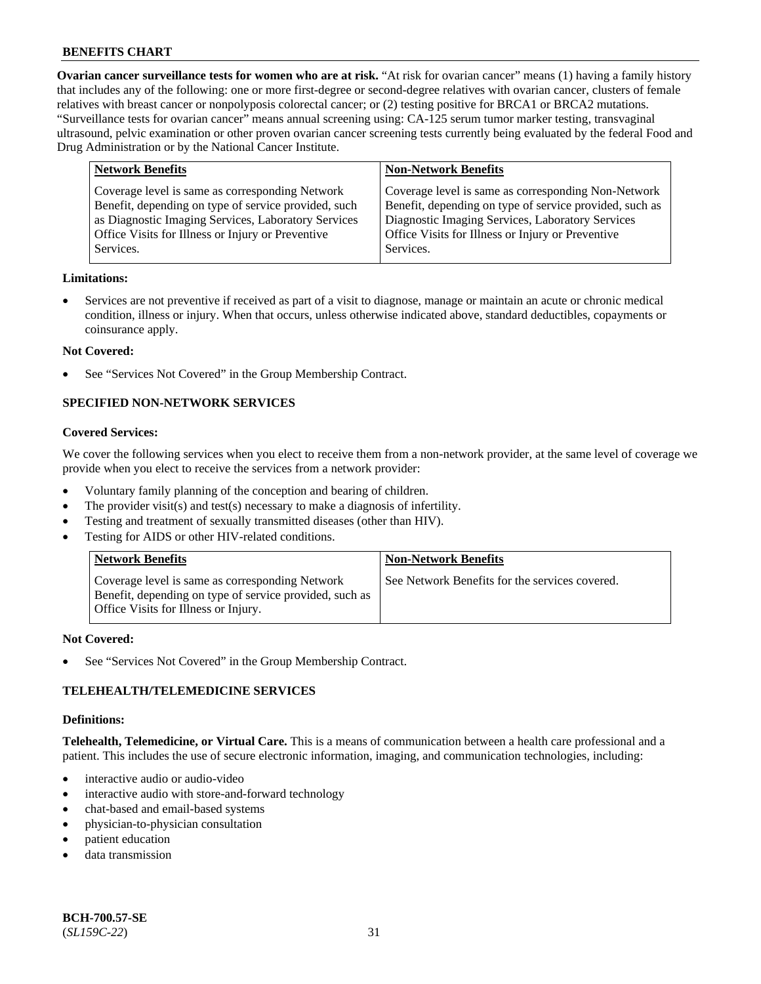**Ovarian cancer surveillance tests for women who are at risk.** "At risk for ovarian cancer" means (1) having a family history that includes any of the following: one or more first-degree or second-degree relatives with ovarian cancer, clusters of female relatives with breast cancer or nonpolyposis colorectal cancer; or (2) testing positive for BRCA1 or BRCA2 mutations. "Surveillance tests for ovarian cancer" means annual screening using: CA-125 serum tumor marker testing, transvaginal ultrasound, pelvic examination or other proven ovarian cancer screening tests currently being evaluated by the federal Food and Drug Administration or by the National Cancer Institute.

| <b>Network Benefits</b>                                                                                                                                                                                                          | <b>Non-Network Benefits</b>                                                                                                                                                                                                          |
|----------------------------------------------------------------------------------------------------------------------------------------------------------------------------------------------------------------------------------|--------------------------------------------------------------------------------------------------------------------------------------------------------------------------------------------------------------------------------------|
| Coverage level is same as corresponding Network<br>Benefit, depending on type of service provided, such<br>as Diagnostic Imaging Services, Laboratory Services<br>Office Visits for Illness or Injury or Preventive<br>Services. | Coverage level is same as corresponding Non-Network<br>Benefit, depending on type of service provided, such as<br>Diagnostic Imaging Services, Laboratory Services<br>Office Visits for Illness or Injury or Preventive<br>Services. |
|                                                                                                                                                                                                                                  |                                                                                                                                                                                                                                      |

#### **Limitations:**

• Services are not preventive if received as part of a visit to diagnose, manage or maintain an acute or chronic medical condition, illness or injury. When that occurs, unless otherwise indicated above, standard deductibles, copayments or coinsurance apply.

#### **Not Covered:**

See "Services Not Covered" in the Group Membership Contract.

# **SPECIFIED NON-NETWORK SERVICES**

### **Covered Services:**

We cover the following services when you elect to receive them from a non-network provider, at the same level of coverage we provide when you elect to receive the services from a network provider:

- Voluntary family planning of the conception and bearing of children.
- The provider visit(s) and test(s) necessary to make a diagnosis of infertility.
- Testing and treatment of sexually transmitted diseases (other than HIV).
- Testing for AIDS or other HIV-related conditions.

| <b>Network Benefits</b>                                                                                                                            | <b>Non-Network Benefits</b>                    |
|----------------------------------------------------------------------------------------------------------------------------------------------------|------------------------------------------------|
| Coverage level is same as corresponding Network<br>Benefit, depending on type of service provided, such as<br>Office Visits for Illness or Injury. | See Network Benefits for the services covered. |

#### **Not Covered:**

See "Services Not Covered" in the Group Membership Contract.

### **TELEHEALTH/TELEMEDICINE SERVICES**

#### **Definitions:**

**Telehealth, Telemedicine, or Virtual Care.** This is a means of communication between a health care professional and a patient. This includes the use of secure electronic information, imaging, and communication technologies, including:

- interactive audio or audio-video
- interactive audio with store-and-forward technology
- chat-based and email-based systems
- physician-to-physician consultation
- patient education
- data transmission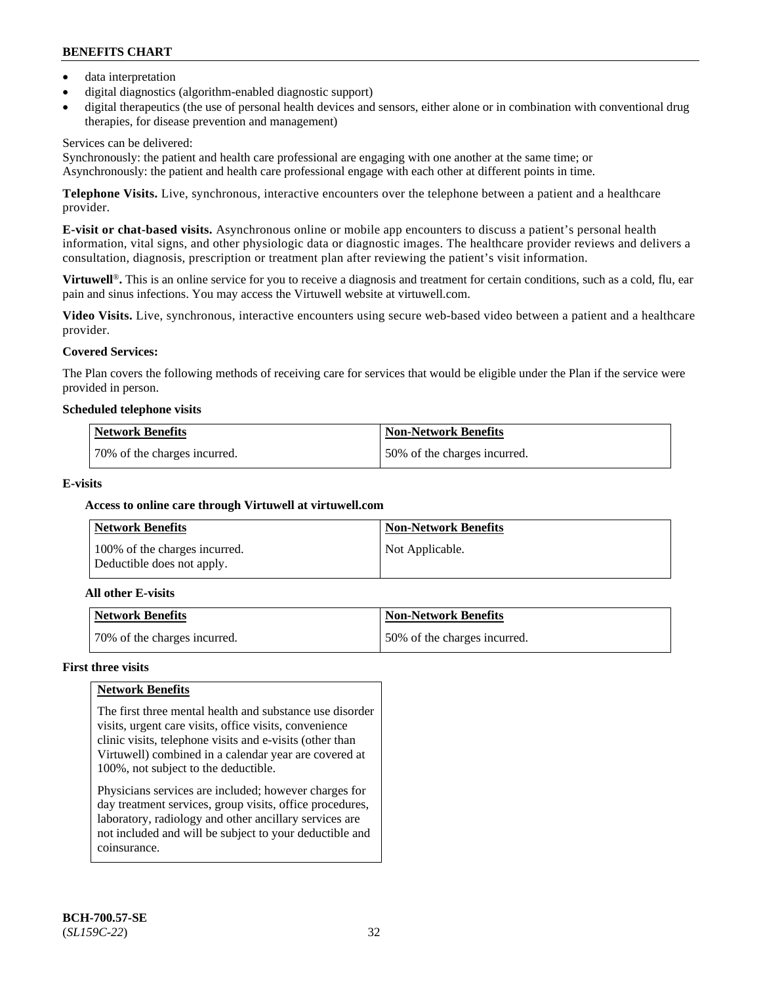- data interpretation
- digital diagnostics (algorithm-enabled diagnostic support)
- digital therapeutics (the use of personal health devices and sensors, either alone or in combination with conventional drug therapies, for disease prevention and management)

### Services can be delivered:

Synchronously: the patient and health care professional are engaging with one another at the same time; or Asynchronously: the patient and health care professional engage with each other at different points in time.

**Telephone Visits.** Live, synchronous, interactive encounters over the telephone between a patient and a healthcare provider.

**E-visit or chat-based visits.** Asynchronous online or mobile app encounters to discuss a patient's personal health information, vital signs, and other physiologic data or diagnostic images. The healthcare provider reviews and delivers a consultation, diagnosis, prescription or treatment plan after reviewing the patient's visit information.

**Virtuwell<sup>®</sup>**. This is an online service for you to receive a diagnosis and treatment for certain conditions, such as a cold, flu, ear pain and sinus infections. You may access the Virtuwell website at [virtuwell.com.](https://www.virtuwell.com/)

**Video Visits.** Live, synchronous, interactive encounters using secure web-based video between a patient and a healthcare provider.

# **Covered Services:**

The Plan covers the following methods of receiving care for services that would be eligible under the Plan if the service were provided in person.

#### **Scheduled telephone visits**

| <b>Network Benefits</b>      | Non-Network Benefits         |
|------------------------------|------------------------------|
| 70% of the charges incurred. | 50% of the charges incurred. |

### **E-visits**

### **Access to online care through Virtuwell at [virtuwell.com](https://www.virtuwell.com/)**

| <b>Network Benefits</b>                                     | <b>Non-Network Benefits</b> |
|-------------------------------------------------------------|-----------------------------|
| 100% of the charges incurred.<br>Deductible does not apply. | Not Applicable.             |

### **All other E-visits**

| Network Benefits             | Non-Network Benefits         |
|------------------------------|------------------------------|
| 70% of the charges incurred. | 50% of the charges incurred. |

### **First three visits**

### **Network Benefits**

The first three mental health and substance use disorder visits, urgent care visits, office visits, convenience clinic visits, telephone visits and e-visits (other than Virtuwell) combined in a calendar year are covered at 100%, not subject to the deductible.

Physicians services are included; however charges for day treatment services, group visits, office procedures, laboratory, radiology and other ancillary services are not included and will be subject to your deductible and coinsurance.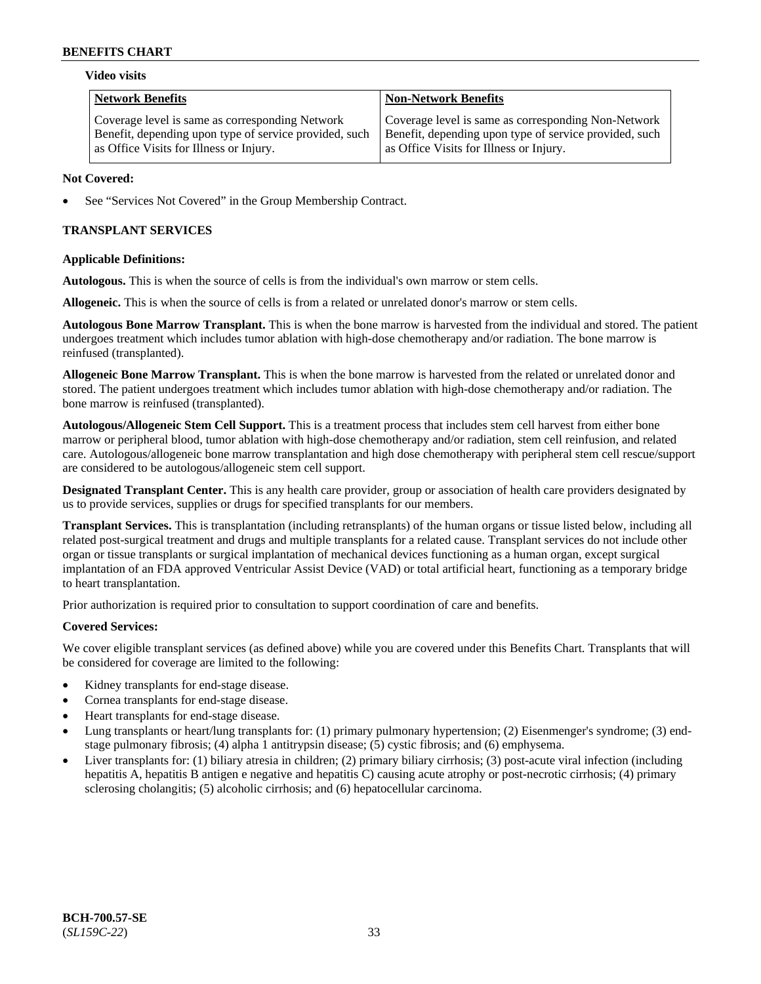#### **Video visits**

| <b>Network Benefits</b>                                | <b>Non-Network Benefits</b>                            |
|--------------------------------------------------------|--------------------------------------------------------|
| Coverage level is same as corresponding Network        | Coverage level is same as corresponding Non-Network    |
| Benefit, depending upon type of service provided, such | Benefit, depending upon type of service provided, such |
| as Office Visits for Illness or Injury.                | as Office Visits for Illness or Injury.                |

### **Not Covered:**

See "Services Not Covered" in the Group Membership Contract.

# **TRANSPLANT SERVICES**

### **Applicable Definitions:**

**Autologous.** This is when the source of cells is from the individual's own marrow or stem cells.

**Allogeneic.** This is when the source of cells is from a related or unrelated donor's marrow or stem cells.

**Autologous Bone Marrow Transplant.** This is when the bone marrow is harvested from the individual and stored. The patient undergoes treatment which includes tumor ablation with high-dose chemotherapy and/or radiation. The bone marrow is reinfused (transplanted).

**Allogeneic Bone Marrow Transplant.** This is when the bone marrow is harvested from the related or unrelated donor and stored. The patient undergoes treatment which includes tumor ablation with high-dose chemotherapy and/or radiation. The bone marrow is reinfused (transplanted).

**Autologous/Allogeneic Stem Cell Support.** This is a treatment process that includes stem cell harvest from either bone marrow or peripheral blood, tumor ablation with high-dose chemotherapy and/or radiation, stem cell reinfusion, and related care. Autologous/allogeneic bone marrow transplantation and high dose chemotherapy with peripheral stem cell rescue/support are considered to be autologous/allogeneic stem cell support.

**Designated Transplant Center.** This is any health care provider, group or association of health care providers designated by us to provide services, supplies or drugs for specified transplants for our members.

**Transplant Services.** This is transplantation (including retransplants) of the human organs or tissue listed below, including all related post-surgical treatment and drugs and multiple transplants for a related cause. Transplant services do not include other organ or tissue transplants or surgical implantation of mechanical devices functioning as a human organ, except surgical implantation of an FDA approved Ventricular Assist Device (VAD) or total artificial heart, functioning as a temporary bridge to heart transplantation.

Prior authorization is required prior to consultation to support coordination of care and benefits.

### **Covered Services:**

We cover eligible transplant services (as defined above) while you are covered under this Benefits Chart. Transplants that will be considered for coverage are limited to the following:

- Kidney transplants for end-stage disease.
- Cornea transplants for end-stage disease.
- Heart transplants for end-stage disease.
- Lung transplants or heart/lung transplants for: (1) primary pulmonary hypertension; (2) Eisenmenger's syndrome; (3) endstage pulmonary fibrosis; (4) alpha 1 antitrypsin disease; (5) cystic fibrosis; and (6) emphysema.
- Liver transplants for: (1) biliary atresia in children; (2) primary biliary cirrhosis; (3) post-acute viral infection (including hepatitis A, hepatitis B antigen e negative and hepatitis C) causing acute atrophy or post-necrotic cirrhosis; (4) primary sclerosing cholangitis; (5) alcoholic cirrhosis; and (6) hepatocellular carcinoma.